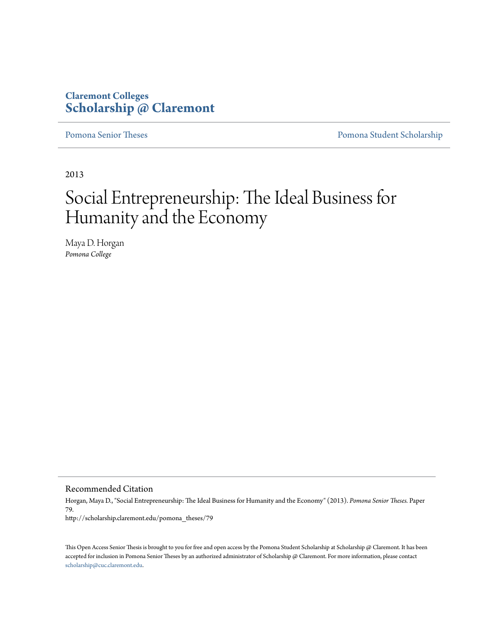#### **Claremont Colleges [Scholarship @ Claremont](http://scholarship.claremont.edu)**

[Pomona Senior Theses](http://scholarship.claremont.edu/pomona_theses) **[Pomona Student Scholarship](http://scholarship.claremont.edu/pomona_student)** 

2013

# Social Entrepreneurship: The Ideal Business for Humanity and the Economy

Maya D. Horgan *Pomona College*

Recommended Citation

Horgan, Maya D., "Social Entrepreneurship: The Ideal Business for Humanity and the Economy" (2013). *Pomona Senior Theses.* Paper 79. http://scholarship.claremont.edu/pomona\_theses/79

This Open Access Senior Thesis is brought to you for free and open access by the Pomona Student Scholarship at Scholarship @ Claremont. It has been accepted for inclusion in Pomona Senior Theses by an authorized administrator of Scholarship @ Claremont. For more information, please contact [scholarship@cuc.claremont.edu.](mailto:scholarship@cuc.claremont.edu)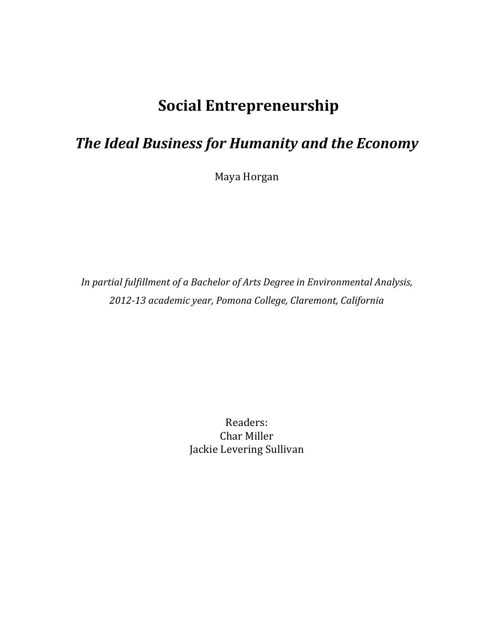## **Social'Entrepreneurship**

### **The Ideal Business for Humanity and the Economy**

Maya Horgan

In partial fulfillment of a Bachelor of Arts Degree in Environmental Analysis, *2012=13#academic#year,#Pomona#College,#Claremont,#California*

> Readers: Char Miller Jackie Levering Sullivan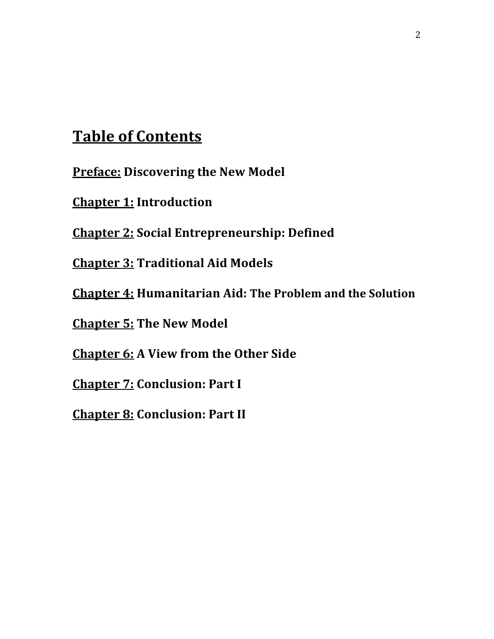### **Table of Contents**

**Preface: Discovering the New Model** 

**Chapter 1: Introduction** 

**Chapter 2: Social Entrepreneurship: Defined** 

**Chapter 3: Traditional Aid Models** 

**Chapter 4: Humanitarian Aid: The Problem and the Solution** 

**Chapter 5: The New Model** 

**Chapter 6: A View from the Other Side** 

**Chapter 7: Conclusion: Part I** 

**Chapter 8: Conclusion: Part II**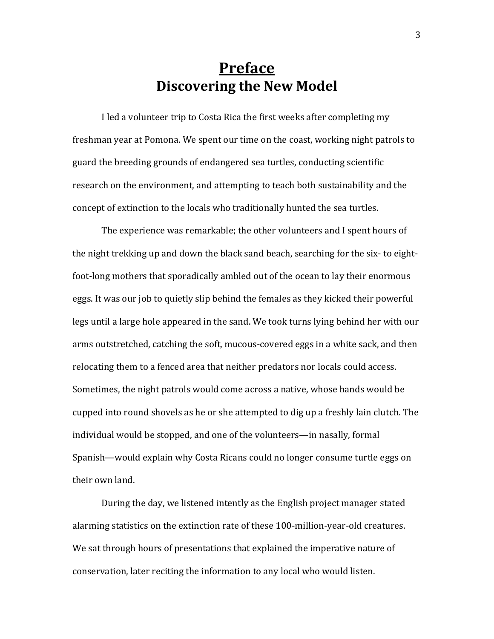#### **Preface Discovering the New Model**

I led a volunteer trip to Costa Rica the first weeks after completing my freshman year at Pomona. We spent our time on the coast, working night patrols to guard the breeding grounds of endangered sea turtles, conducting scientific research on the environment, and attempting to teach both sustainability and the concept of extinction to the locals who traditionally hunted the sea turtles.

The experience was remarkable; the other volunteers and I spent hours of the night trekking up and down the black sand beach, searching for the six- to eightfoot-long mothers that sporadically ambled out of the ocean to lay their enormous eggs. It was our job to quietly slip behind the females as they kicked their powerful legs until a large hole appeared in the sand. We took turns lying behind her with our arms outstretched, catching the soft, mucous-covered eggs in a white sack, and then relocating them to a fenced area that neither predators nor locals could access. Sometimes, the night patrols would come across a native, whose hands would be cupped into round shovels as he or she attempted to dig up a freshly lain clutch. The individual would be stopped, and one of the volunteers—in nasally, formal Spanish—would explain why Costa Ricans could no longer consume turtle eggs on their own land.

During the day, we listened intently as the English project manager stated alarming statistics on the extinction rate of these 100-million-year-old creatures. We sat through hours of presentations that explained the imperative nature of conservation, later reciting the information to any local who would listen.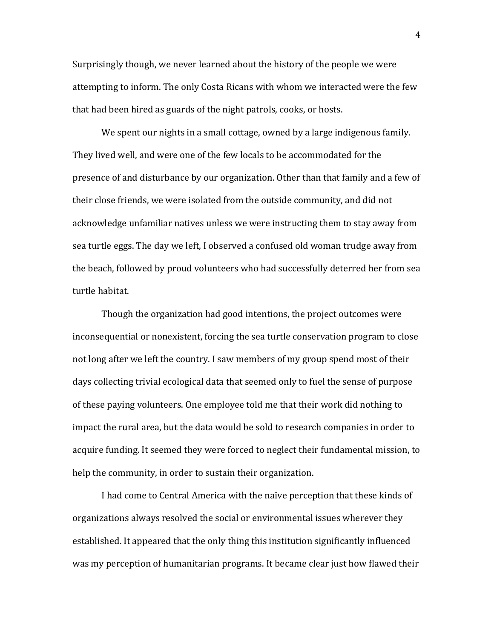Surprisingly though, we never learned about the history of the people we were attempting to inform. The only Costa Ricans with whom we interacted were the few that had been hired as guards of the night patrols, cooks, or hosts.

We spent our nights in a small cottage, owned by a large indigenous family. They lived well, and were one of the few locals to be accommodated for the presence of and disturbance by our organization. Other than that family and a few of their close friends, we were isolated from the outside community, and did not acknowledge unfamiliar natives unless we were instructing them to stay away from sea turtle eggs. The day we left, I observed a confused old woman trudge away from the beach, followed by proud volunteers who had successfully deterred her from sea turtle habitat.

Though the organization had good intentions, the project outcomes were inconsequential or nonexistent, forcing the sea turtle conservation program to close not long after we left the country. I saw members of my group spend most of their days collecting trivial ecological data that seemed only to fuel the sense of purpose of these paying volunteers. One employee told me that their work did nothing to impact the rural area, but the data would be sold to research companies in order to acquire funding. It seemed they were forced to neglect their fundamental mission, to help the community, in order to sustain their organization.

I had come to Central America with the naïve perception that these kinds of organizations always resolved the social or environmental issues wherever they established. It appeared that the only thing this institution significantly influenced was my perception of humanitarian programs. It became clear just how flawed their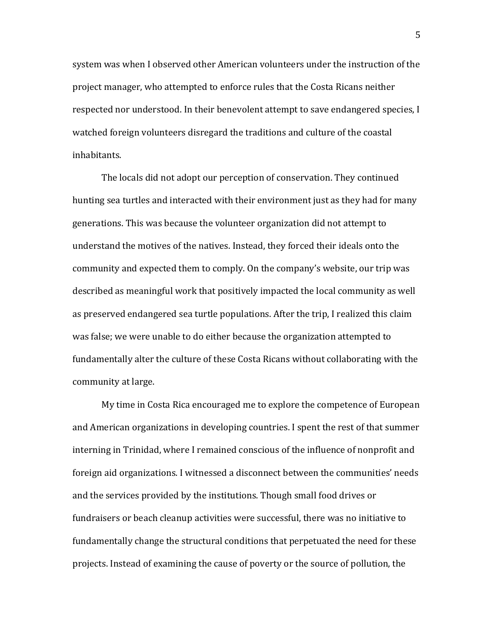system was when I observed other American volunteers under the instruction of the project manager, who attempted to enforce rules that the Costa Ricans neither respected nor understood. In their benevolent attempt to save endangered species, I watched foreign volunteers disregard the traditions and culture of the coastal inhabitants.

The locals did not adopt our perception of conservation. They continued hunting sea turtles and interacted with their environment just as they had for many generations. This was because the volunteer organization did not attempt to understand the motives of the natives. Instead, they forced their ideals onto the community and expected them to comply. On the company's website, our trip was described as meaningful work that positively impacted the local community as well as preserved endangered sea turtle populations. After the trip, I realized this claim was false; we were unable to do either because the organization attempted to fundamentally alter the culture of these Costa Ricans without collaborating with the community at large.

My time in Costa Rica encouraged me to explore the competence of European and American organizations in developing countries. I spent the rest of that summer interning in Trinidad, where I remained conscious of the influence of nonprofit and foreign aid organizations. I witnessed a disconnect between the communities' needs and the services provided by the institutions. Though small food drives or fundraisers or beach cleanup activities were successful, there was no initiative to fundamentally change the structural conditions that perpetuated the need for these projects. Instead of examining the cause of poverty or the source of pollution, the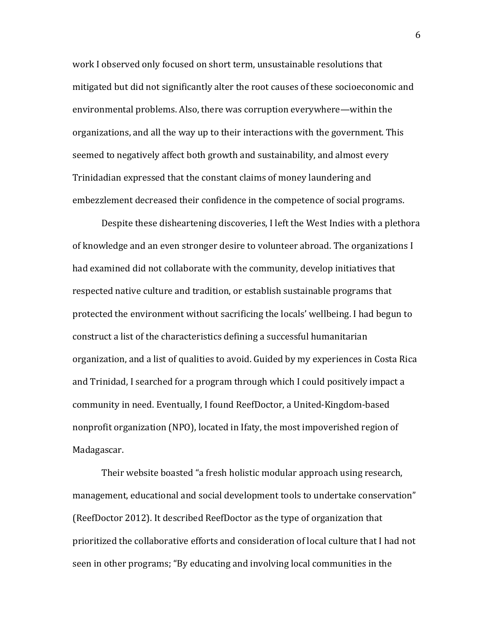work I observed only focused on short term, unsustainable resolutions that mitigated but did not significantly alter the root causes of these socioeconomic and environmental problems. Also, there was corruption everywhere—within the organizations, and all the way up to their interactions with the government. This seemed to negatively affect both growth and sustainability, and almost every Trinidadian expressed that the constant claims of money laundering and embezzlement decreased their confidence in the competence of social programs.

Despite these disheartening discoveries. I left the West Indies with a plethora of knowledge and an even stronger desire to volunteer abroad. The organizations I had examined did not collaborate with the community, develop initiatives that respected native culture and tradition, or establish sustainable programs that protected the environment without sacrificing the locals' wellbeing. I had begun to construct a list of the characteristics defining a successful humanitarian organization, and a list of qualities to avoid. Guided by my experiences in Costa Rica and Trinidad, I searched for a program through which I could positively impact a community in need. Eventually, I found ReefDoctor, a United-Kingdom-based nonprofit organization (NPO), located in Ifaty, the most impoverished region of Madagascar.

Their website boasted "a fresh holistic modular approach using research, management, educational and social development tools to undertake conservation" (ReefDoctor 2012). It described ReefDoctor as the type of organization that prioritized the collaborative efforts and consideration of local culture that I had not seen in other programs; "By educating and involving local communities in the

6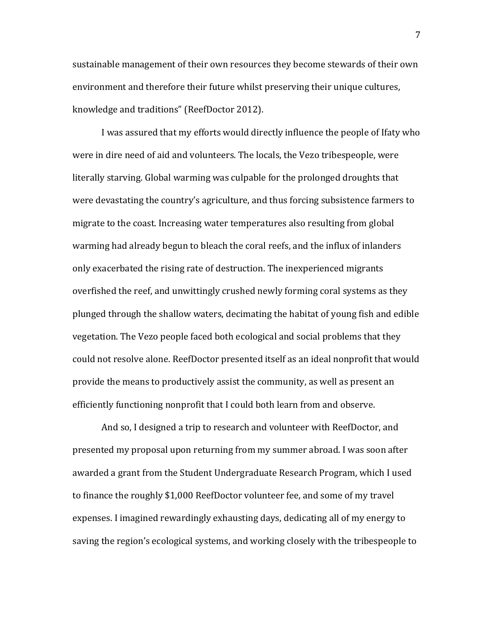sustainable management of their own resources they become stewards of their own environment and therefore their future whilst preserving their unique cultures, knowledge and traditions" (ReefDoctor 2012).

I was assured that my efforts would directly influence the people of Ifaty who were in dire need of aid and volunteers. The locals, the Vezo tribespeople, were literally starving. Global warming was culpable for the prolonged droughts that were devastating the country's agriculture, and thus forcing subsistence farmers to migrate to the coast. Increasing water temperatures also resulting from global warming had already begun to bleach the coral reefs, and the influx of inlanders only exacerbated the rising rate of destruction. The inexperienced migrants overfished the reef, and unwittingly crushed newly forming coral systems as they plunged through the shallow waters, decimating the habitat of young fish and edible vegetation. The Vezo people faced both ecological and social problems that they could not resolve alone. ReefDoctor presented itself as an ideal nonprofit that would provide the means to productively assist the community, as well as present an efficiently functioning nonprofit that I could both learn from and observe.

And so, I designed a trip to research and volunteer with ReefDoctor, and presented my proposal upon returning from my summer abroad. I was soon after awarded a grant from the Student Undergraduate Research Program, which I used to finance the roughly \$1,000 ReefDoctor volunteer fee, and some of my travel expenses. I imagined rewardingly exhausting days, dedicating all of my energy to saving the region's ecological systems, and working closely with the tribespeople to

7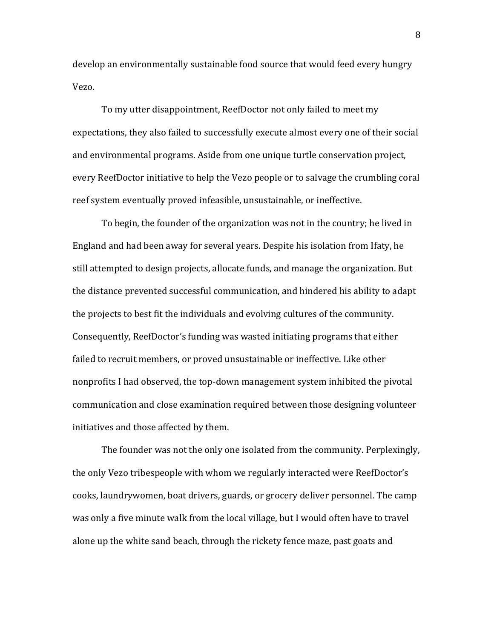develop an environmentally sustainable food source that would feed every hungry Vezo.

To my utter disappointment, ReefDoctor not only failed to meet my expectations, they also failed to successfully execute almost every one of their social and environmental programs. Aside from one unique turtle conservation project, every ReefDoctor initiative to help the Vezo people or to salvage the crumbling coral reef system eventually proved infeasible, unsustainable, or ineffective.

To begin, the founder of the organization was not in the country; he lived in England and had been away for several years. Despite his isolation from Ifaty, he still attempted to design projects, allocate funds, and manage the organization. But the distance prevented successful communication, and hindered his ability to adapt the projects to best fit the individuals and evolving cultures of the community. Consequently, ReefDoctor's funding was wasted initiating programs that either failed to recruit members, or proved unsustainable or ineffective. Like other nonprofits I had observed, the top-down management system inhibited the pivotal communication and close examination required between those designing volunteer initiatives and those affected by them.

The founder was not the only one isolated from the community. Perplexingly, the only Vezo tribespeople with whom we regularly interacted were ReefDoctor's cooks, laundrywomen, boat drivers, guards, or grocery deliver personnel. The camp was only a five minute walk from the local village, but I would often have to travel alone up the white sand beach, through the rickety fence maze, past goats and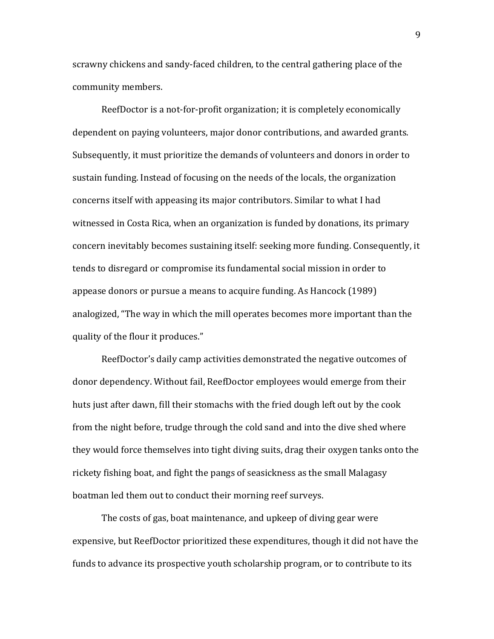scrawny chickens and sandy-faced children, to the central gathering place of the community members.

ReefDoctor is a not-for-profit organization; it is completely economically dependent on paying volunteers, major donor contributions, and awarded grants. Subsequently, it must prioritize the demands of volunteers and donors in order to sustain funding. Instead of focusing on the needs of the locals, the organization concerns itself with appeasing its major contributors. Similar to what I had witnessed in Costa Rica, when an organization is funded by donations, its primary concern inevitably becomes sustaining itself: seeking more funding. Consequently, it tends to disregard or compromise its fundamental social mission in order to the state. appease donors or pursue a means to acquire funding. As Hancock (1989) analogized, "The way in which the mill operates becomes more important than the quality of the flour it produces."

ReefDoctor's daily camp activities demonstrated the negative outcomes of donor dependency. Without fail, ReefDoctor employees would emerge from their huts just after dawn, fill their stomachs with the fried dough left out by the cook from the night before, trudge through the cold sand and into the dive shed where they would force themselves into tight diving suits, drag their oxygen tanks onto the rickety fishing boat, and fight the pangs of seasickness as the small Malagasy boatman led them out to conduct their morning reef surveys.

The costs of gas, boat maintenance, and upkeep of diving gear were expensive, but ReefDoctor prioritized these expenditures, though it did not have the funds to advance its prospective youth scholarship program, or to contribute to its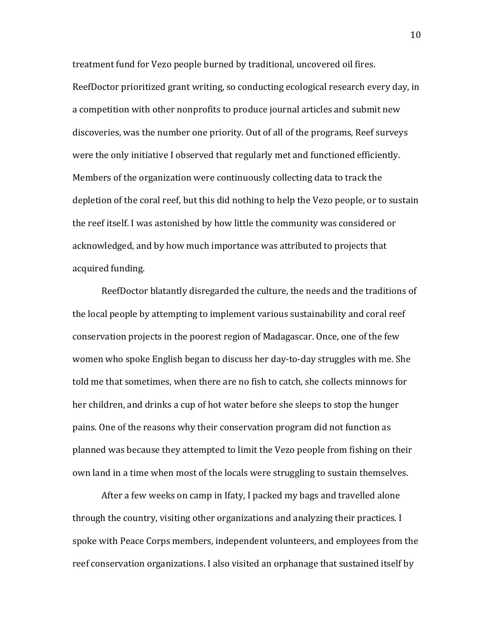treatment fund for Vezo people burned by traditional, uncovered oil fires. ReefDoctor prioritized grant writing, so conducting ecological research every day, in a competition with other nonprofits to produce journal articles and submit new discoveries, was the number one priority. Out of all of the programs, Reef surveys were the only initiative I observed that regularly met and functioned efficiently. Members of the organization were continuously collecting data to track the depletion of the coral reef, but this did nothing to help the Vezo people, or to sustain the reef itself. I was astonished by how little the community was considered or acknowledged, and by how much importance was attributed to projects that acquired funding.

ReefDoctor blatantly disregarded the culture, the needs and the traditions of the local people by attempting to implement various sustainability and coral reef conservation projects in the poorest region of Madagascar. Once, one of the few women who spoke English began to discuss her day-to-day struggles with me. She told me that sometimes, when there are no fish to catch, she collects minnows for her children, and drinks a cup of hot water before she sleeps to stop the hunger pains. One of the reasons why their conservation program did not function as planned was because they attempted to limit the Vezo people from fishing on their own land in a time when most of the locals were struggling to sustain themselves.

After a few weeks on camp in Ifaty, I packed my bags and travelled alone through the country, visiting other organizations and analyzing their practices. I spoke with Peace Corps members, independent volunteers, and employees from the reef conservation organizations. I also visited an orphanage that sustained itself by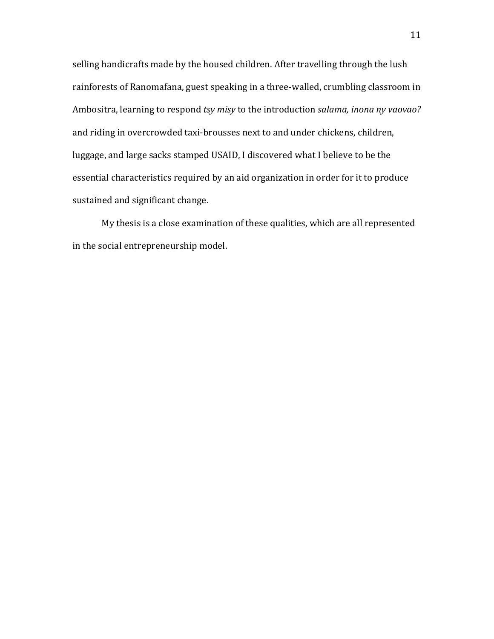selling handicrafts made by the housed children. After travelling through the lush rainforests of Ranomafana, guest speaking in a three-walled, crumbling classroom in Ambositra, learning to respond *tsy misy* to the introduction *salama, inona ny vaovao?* and riding in overcrowded taxi-brousses next to and under chickens, children, luggage, and large sacks stamped USAID, I discovered what I believe to be the essential characteristics required by an aid organization in order for it to produce sustained and significant change.

My thesis is a close examination of these qualities, which are all represented in the social entrepreneurship model.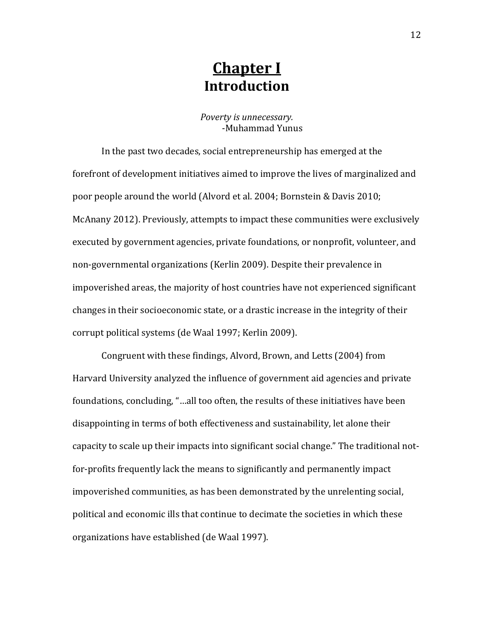#### **Chapter I Introduction**

*Poverty is unnecessary.* -Muhammad Yunus

In the past two decades, social entrepreneurship has emerged at the forefront of development initiatives aimed to improve the lives of marginalized and poor people around the world (Alvord et al. 2004; Bornstein & Davis 2010; McAnany 2012). Previously, attempts to impact these communities were exclusively executed by government agencies, private foundations, or nonprofit, volunteer, and non-governmental organizations (Kerlin 2009). Despite their prevalence in impoverished areas, the majority of host countries have not experienced significant changes in their socioeconomic state, or a drastic increase in the integrity of their corrupt political systems (de Waal 1997; Kerlin 2009).

Congruent with these findings, Alvord, Brown, and Letts (2004) from Harvard University analyzed the influence of government aid agencies and private foundations, concluding, "...all too often, the results of these initiatives have been disappointing in terms of both effectiveness and sustainability, let alone their capacity to scale up their impacts into significant social change." The traditional notfor-profits frequently lack the means to significantly and permanently impact impoverished communities, as has been demonstrated by the unrelenting social, political and economic ills that continue to decimate the societies in which these organizations have established (de Waal 1997).

12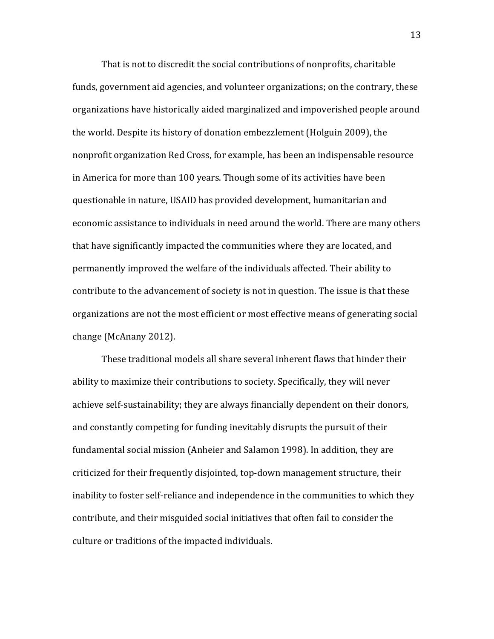That is not to discredit the social contributions of nonprofits, charitable funds, government aid agencies, and volunteer organizations; on the contrary, these organizations have historically aided marginalized and impoverished people around the world. Despite its history of donation embezzlement (Holguin 2009), the nonprofit organization Red Cross, for example, has been an indispensable resource in America for more than 100 years. Though some of its activities have been questionable in nature, USAID has provided development, humanitarian and economic assistance to individuals in need around the world. There are many others that have significantly impacted the communities where they are located, and permanently improved the welfare of the individuals affected. Their ability to contribute to the advancement of society is not in question. The issue is that these organizations are not the most efficient or most effective means of generating social change (McAnany 2012).

These traditional models all share several inherent flaws that hinder their ability to maximize their contributions to society. Specifically, they will never achieve self-sustainability; they are always financially dependent on their donors, and constantly competing for funding inevitably disrupts the pursuit of their fundamental social mission (Anheier and Salamon 1998). In addition, they are criticized for their frequently disjointed, top-down management structure, their inability to foster self-reliance and independence in the communities to which they contribute, and their misguided social initiatives that often fail to consider the culture or traditions of the impacted individuals.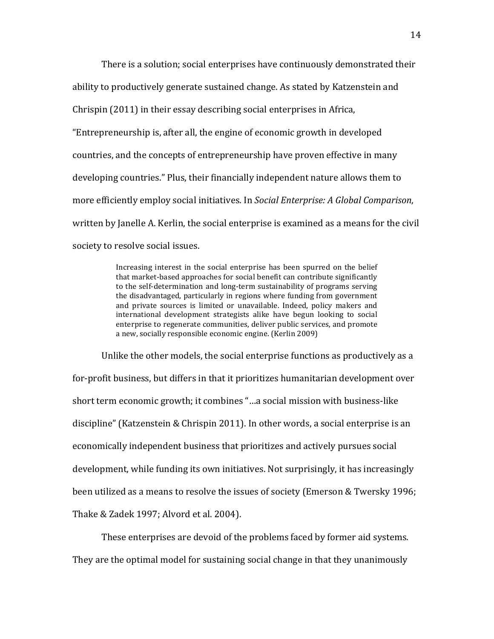There is a solution; social enterprises have continuously demonstrated their ability to productively generate sustained change. As stated by Katzenstein and Chrispin (2011) in their essay describing social enterprises in Africa, "Entrepreneurship is, after all, the engine of economic growth in developed countries, and the concepts of entrepreneurship have proven effective in many developing countries." Plus, their financially independent nature allows them to more efficiently employ social initiatives. In *Social Enterprise: A Global Comparison*, written by Janelle A. Kerlin, the social enterprise is examined as a means for the civil society to resolve social issues.

> Increasing interest in the social enterprise has been spurred on the belief that market-based approaches for social benefit can contribute significantly to the self-determination and long-term sustainability of programs serving the disadvantaged, particularly in regions where funding from government and private sources is limited or unavailable. Indeed, policy makers and international development strategists alike have begun looking to social enterprise to regenerate communities, deliver public services, and promote a new, socially responsible economic engine. (Kerlin 2009)

Unlike the other models, the social enterprise functions as productively as a for-profit business, but differs in that it prioritizes humanitarian development over short term economic growth; it combines "...a social mission with business-like discipline" (Katzenstein & Chrispin 2011). In other words, a social enterprise is an economically independent business that prioritizes and actively pursues social development, while funding its own initiatives. Not surprisingly, it has increasingly been utilized as a means to resolve the issues of society (Emerson  $&$  Twersky 1996; Thake & Zadek 1997; Alvord et al. 2004).

These enterprises are devoid of the problems faced by former aid systems. They are the optimal model for sustaining social change in that they unanimously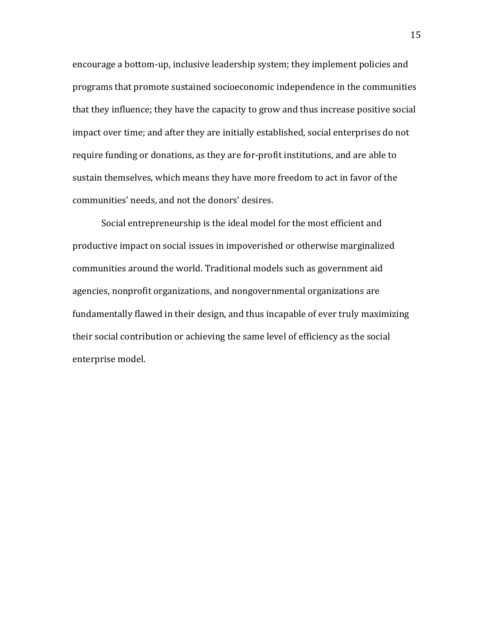encourage a bottom-up, inclusive leadership system; they implement policies and programs that promote sustained socioeconomic independence in the communities that they influence; they have the capacity to grow and thus increase positive social impact over time; and after they are initially established, social enterprises do not require funding or donations, as they are for-profit institutions, and are able to sustain themselves, which means they have more freedom to act in favor of the communities' needs, and not the donors' desires.

Social entrepreneurship is the ideal model for the most efficient and productive impact on social issues in impoverished or otherwise marginalized communities around the world. Traditional models such as government aid agencies, nonprofit organizations, and nongovernmental organizations are fundamentally flawed in their design, and thus incapable of ever truly maximizing their social contribution or achieving the same level of efficiency as the social enterprise model.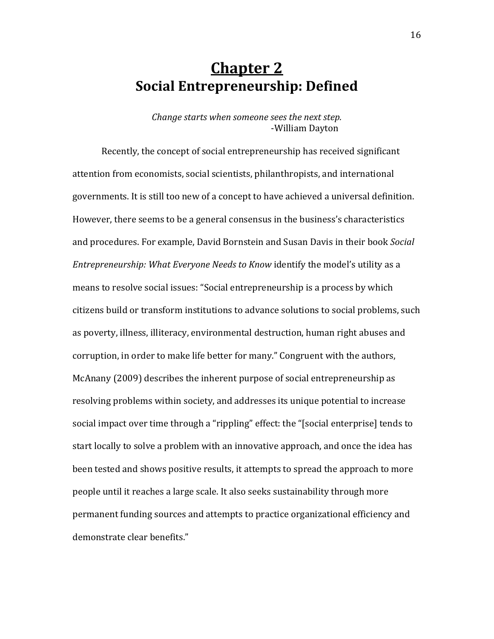#### **Chapter 2 Social'Entrepreneurship:'Defined**

*Change starts when someone sees the next step.* -William Dayton

Recently, the concept of social entrepreneurship has received significant attention from economists, social scientists, philanthropists, and international governments. It is still too new of a concept to have achieved a universal definition. However, there seems to be a general consensus in the business's characteristics and procedures. For example, David Bornstein and Susan Davis in their book *Social Entrepreneurship: What Everyone Needs to Know identify the model's utility as a* means to resolve social issues: "Social entrepreneurship is a process by which citizens build or transform institutions to advance solutions to social problems, such as poverty, illness, illiteracy, environmental destruction, human right abuses and corruption, in order to make life better for many." Congruent with the authors, McAnany (2009) describes the inherent purpose of social entrepreneurship as resolving problems within society, and addresses its unique potential to increase social impact over time through a "rippling" effect: the "[social enterprise] tends to start locally to solve a problem with an innovative approach, and once the idea has been tested and shows positive results, it attempts to spread the approach to more people until it reaches a large scale. It also seeks sustainability through more permanent funding sources and attempts to practice organizational efficiency and demonstrate clear benefits."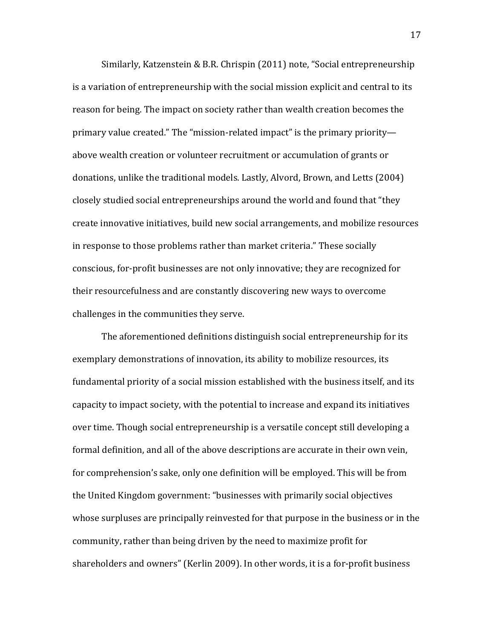Similarly, Katzenstein & B.R. Chrispin (2011) note, "Social entrepreneurship is a variation of entrepreneurship with the social mission explicit and central to its reason for being. The impact on society rather than wealth creation becomes the primary value created." The "mission-related impact" is the primary priority above wealth creation or volunteer recruitment or accumulation of grants or donations, unlike the traditional models. Lastly, Alvord, Brown, and Letts (2004) closely studied social entrepreneurships around the world and found that "they" create innovative initiatives, build new social arrangements, and mobilize resources in response to those problems rather than market criteria." These socially conscious, for-profit businesses are not only innovative; they are recognized for their resourcefulness and are constantly discovering new ways to overcome challenges in the communities they serve.

The aforementioned definitions distinguish social entrepreneurship for its exemplary demonstrations of innovation, its ability to mobilize resources, its fundamental priority of a social mission established with the business itself, and its capacity to impact society, with the potential to increase and expand its initiatives over time. Though social entrepreneurship is a versatile concept still developing a formal definition, and all of the above descriptions are accurate in their own vein, for comprehension's sake, only one definition will be employed. This will be from the United Kingdom government: "businesses with primarily social objectives whose surpluses are principally reinvested for that purpose in the business or in the community, rather than being driven by the need to maximize profit for shareholders and owners" (Kerlin 2009). In other words, it is a for-profit business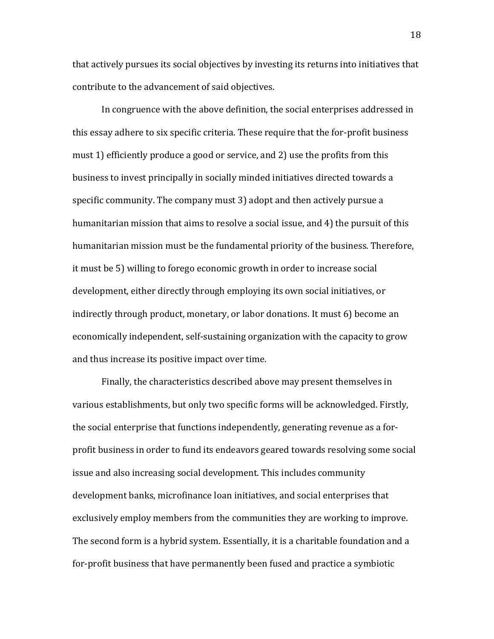that actively pursues its social objectives by investing its returns into initiatives that contribute to the advancement of said objectives.

In congruence with the above definition, the social enterprises addressed in this essay adhere to six specific criteria. These require that the for-profit business must 1) efficiently produce a good or service, and 2) use the profits from this business to invest principally in socially minded initiatives directed towards a specific community. The company must 3) adopt and then actively pursue a humanitarian mission that aims to resolve a social issue, and 4) the pursuit of this humanitarian mission must be the fundamental priority of the business. Therefore, it must be 5) willing to forego economic growth in order to increase social development, either directly through employing its own social initiatives, or indirectly through product, monetary, or labor donations. It must 6) become an economically independent, self-sustaining organization with the capacity to grow and thus increase its positive impact over time.

Finally, the characteristics described above may present themselves in various establishments, but only two specific forms will be acknowledged. Firstly, the social enterprise that functions independently, generating revenue as a forprofit business in order to fund its endeavors geared towards resolving some social issue and also increasing social development. This includes community development banks, microfinance loan initiatives, and social enterprises that exclusively employ members from the communities they are working to improve. The second form is a hybrid system. Essentially, it is a charitable foundation and a for-profit business that have permanently been fused and practice a symbiotic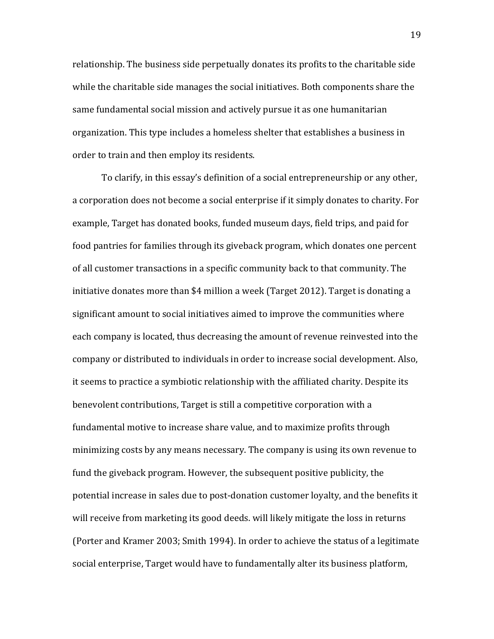relationship. The business side perpetually donates its profits to the charitable side while the charitable side manages the social initiatives. Both components share the same fundamental social mission and actively pursue it as one humanitarian organization. This type includes a homeless shelter that establishes a business in order to train and then employ its residents.

To clarify, in this essay's definition of a social entrepreneurship or any other, a corporation does not become a social enterprise if it simply donates to charity. For example. Target has donated books, funded museum days, field trips, and paid for food pantries for families through its giveback program, which donates one percent of all customer transactions in a specific community back to that community. The initiative donates more than \$4 million a week (Target 2012). Target is donating a significant amount to social initiatives aimed to improve the communities where each company is located, thus decreasing the amount of revenue reinvested into the company or distributed to individuals in order to increase social development. Also, it seems to practice a symbiotic relationship with the affiliated charity. Despite its benevolent contributions, Target is still a competitive corporation with a fundamental motive to increase share value, and to maximize profits through minimizing costs by any means necessary. The company is using its own revenue to fund the giveback program. However, the subsequent positive publicity, the potential increase in sales due to post-donation customer loyalty, and the benefits it will receive from marketing its good deeds. will likely mitigate the loss in returns (Porter and Kramer 2003; Smith 1994). In order to achieve the status of a legitimate social enterprise, Target would have to fundamentally alter its business platform,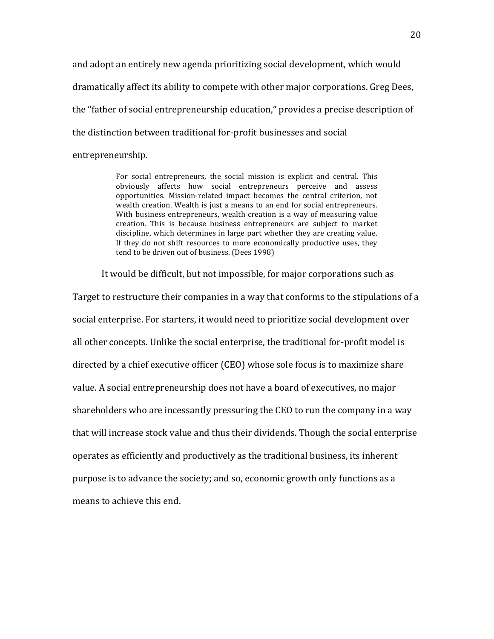and adopt an entirely new agenda prioritizing social development, which would dramatically affect its ability to compete with other major corporations. Greg Dees, the "father of social entrepreneurship education," provides a precise description of the distinction between traditional for-profit businesses and social entrepreneurship.!

> For social entrepreneurs, the social mission is explicit and central. This obviously affects how social entrepreneurs perceive and assess opportunities. Mission-related impact becomes the central criterion, not wealth creation. Wealth is just a means to an end for social entrepreneurs. With business entrepreneurs, wealth creation is a way of measuring value creation. This is because business entrepreneurs are subject to market discipline, which determines in large part whether they are creating value. If they do not shift resources to more economically productive uses, they tend to be driven out of business. (Dees 1998)

It would be difficult, but not impossible, for major corporations such as

Target to restructure their companies in a way that conforms to the stipulations of a social enterprise. For starters, it would need to prioritize social development over all other concepts. Unlike the social enterprise, the traditional for-profit model is directed by a chief executive officer (CEO) whose sole focus is to maximize share value. A social entrepreneurship does not have a board of executives, no major shareholders who are incessantly pressuring the CEO to run the company in a way that will increase stock value and thus their dividends. Though the social enterprise operates as efficiently and productively as the traditional business, its inherent purpose is to advance the society; and so, economic growth only functions as a means to achieve this end.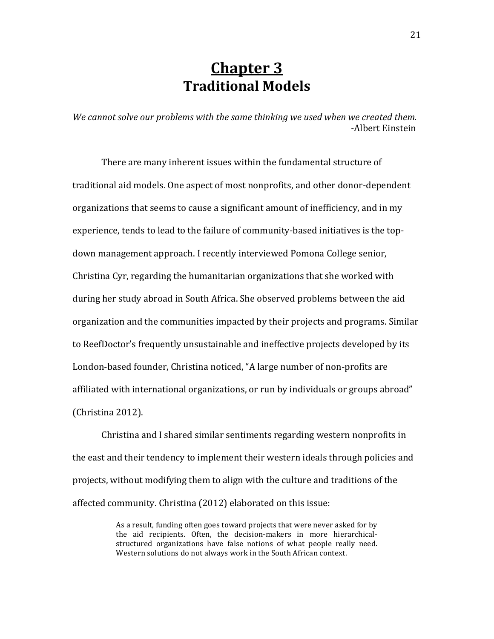### **Chapter 3 Traditional'Models**

*We cannot solve our problems with the same thinking we used when we created them.* -Albert Einstein

There are many inherent issues within the fundamental structure of traditional aid models. One aspect of most nonprofits, and other donor-dependent organizations that seems to cause a significant amount of inefficiency, and in my experience, tends to lead to the failure of community-based initiatives is the topdown management approach. I recently interviewed Pomona College senior, Christina Cyr, regarding the humanitarian organizations that she worked with during her study abroad in South Africa. She observed problems between the aid organization and the communities impacted by their projects and programs. Similar to ReefDoctor's frequently unsustainable and ineffective projects developed by its London-based founder, Christina noticed, "A large number of non-profits are affiliated with international organizations, or run by individuals or groups abroad"  $(Christina 2012).$ 

Christina and I shared similar sentiments regarding western nonprofits in the east and their tendency to implement their western ideals through policies and projects, without modifying them to align with the culture and traditions of the affected community. Christina (2012) elaborated on this issue:

> As a result, funding often goes toward projects that were never asked for by the aid recipients. Often, the decision-makers in more hierarchicalstructured organizations have false notions of what people really need. Western solutions do not always work in the South African context.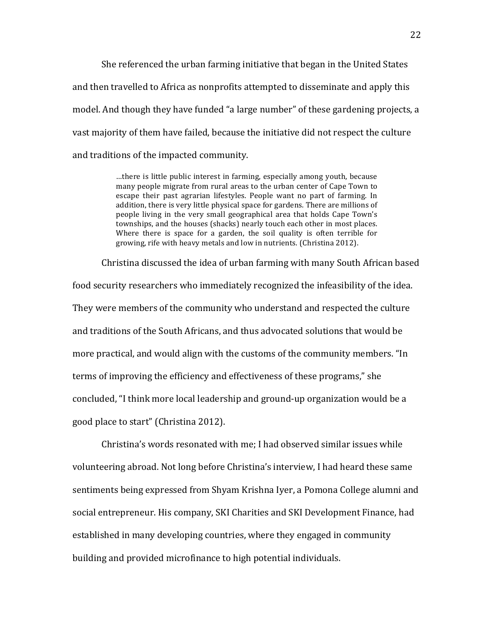She referenced the urban farming initiative that began in the United States and then travelled to Africa as nonprofits attempted to disseminate and apply this model. And though they have funded "a large number" of these gardening projects, a vast majority of them have failed, because the initiative did not respect the culture and traditions of the impacted community.

> ...there is little public interest in farming, especially among youth, because many people migrate from rural areas to the urban center of Cape Town to escape their past agrarian lifestyles. People want no part of farming. In addition, there is very little physical space for gardens. There are millions of people living in the very small geographical area that holds Cape Town's townships, and the houses (shacks) nearly touch each other in most places. Where there is space for a garden, the soil quality is often terrible for growing, rife with heavy metals and low in nutrients. (Christina 2012).

Christina discussed the idea of urban farming with many South African based food security researchers who immediately recognized the infeasibility of the idea. They were members of the community who understand and respected the culture and traditions of the South Africans, and thus advocated solutions that would be more practical, and would align with the customs of the community members. "In terms of improving the efficiency and effectiveness of these programs," she concluded, "I think more local leadership and ground-up organization would be a good place to start" (Christina 2012).

Christina's words resonated with me: I had observed similar issues while volunteering abroad. Not long before Christina's interview, I had heard these same sentiments being expressed from Shyam Krishna Iyer, a Pomona College alumni and social entrepreneur. His company, SKI Charities and SKI Development Finance, had established in many developing countries, where they engaged in community building and provided microfinance to high potential individuals.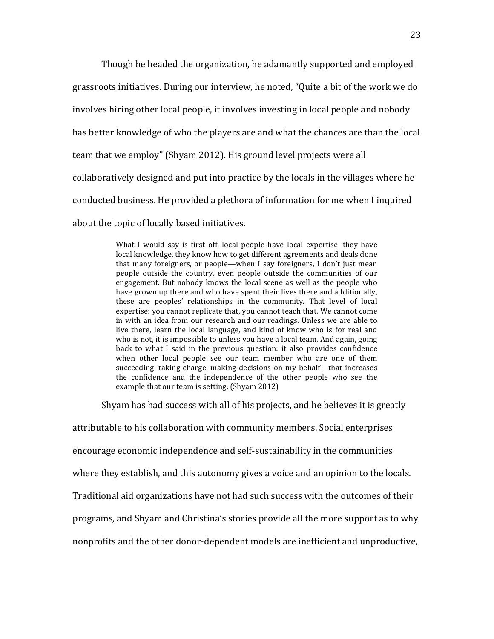Though he headed the organization, he adamantly supported and employed grassroots initiatives. During our interview, he noted, "Quite a bit of the work we do involves hiring other local people, it involves investing in local people and nobody has better knowledge of who the players are and what the chances are than the local team that we employ" (Shyam 2012). His ground level projects were all collaboratively designed and put into practice by the locals in the villages where he conducted business. He provided a plethora of information for me when I inquired about the topic of locally based initiatives.

> What I would say is first off, local people have local expertise, they have local knowledge, they know how to get different agreements and deals done that many foreigners, or people—when I say foreigners, I don't just mean people outside the country, even people outside the communities of our engagement. But nobody knows the local scene as well as the people who have grown up there and who have spent their lives there and additionally, these are peoples' relationships in the community. That level of local expertise: you cannot replicate that, you cannot teach that. We cannot come in with an idea from our research and our readings. Unless we are able to live there, learn the local language, and kind of know who is for real and who is not, it is impossible to unless you have a local team. And again, going back to what I said in the previous question: it also provides confidence when other local people see our team member who are one of them succeeding, taking charge, making decisions on my behalf—that increases the confidence and the independence of the other people who see the example that our team is setting. (Shyam 2012)

Shyam has had success with all of his projects, and he believes it is greatly

attributable to his collaboration with community members. Social enterprises encourage economic independence and self-sustainability in the communities where they establish, and this autonomy gives a voice and an opinion to the locals. Traditional aid organizations have not had such success with the outcomes of their programs, and Shyam and Christina's stories provide all the more support as to why nonprofits and the other donor-dependent models are inefficient and unproductive,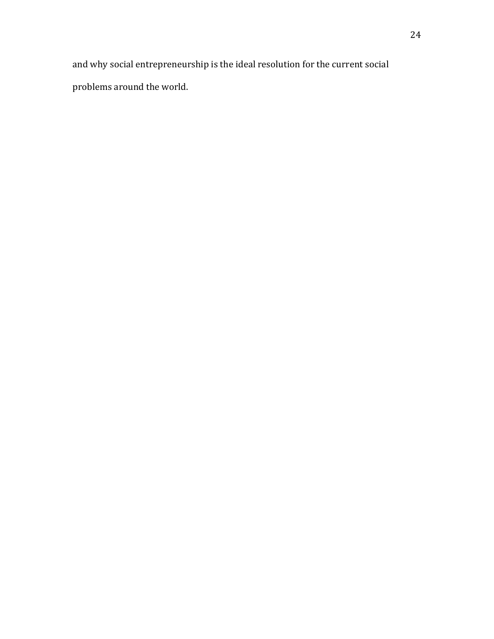and why social entrepreneurship is the ideal resolution for the current social problems around the world.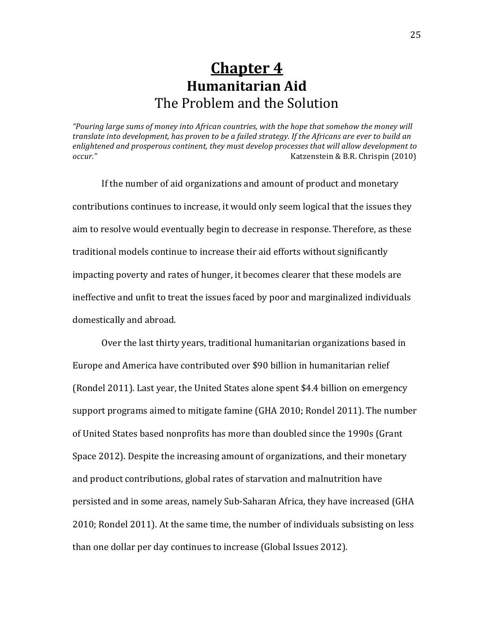#### **Chapter 4 Humanitarian'Aid** The Problem and the Solution

"Pouring large sums of money into African countries, with the hope that somehow the money will *translate into development, has proven to be a failed strategy. If the Africans are ever to build an* enlightened and prosperous continent, they must develop processes that will allow development to *occur." ####*!!!!Katzenstein!&!B.R.!Chrispin!(2010)

If the number of aid organizations and amount of product and monetary contributions continues to increase, it would only seem logical that the issues they aim to resolve would eventually begin to decrease in response. Therefore, as these traditional models continue to increase their aid efforts without significantly impacting poverty and rates of hunger, it becomes clearer that these models are ineffective and unfit to treat the issues faced by poor and marginalized individuals domestically and abroad.

Over the last thirty years, traditional humanitarian organizations based in Europe and America have contributed over \$90 billion in humanitarian relief (Rondel 2011). Last year, the United States alone spent  $$4.4$  billion on emergency support programs aimed to mitigate famine (GHA 2010; Rondel 2011). The number of United States based nonprofits has more than doubled since the 1990s (Grant Space 2012). Despite the increasing amount of organizations, and their monetary and product contributions, global rates of starvation and malnutrition have persisted and in some areas, namely Sub-Saharan Africa, they have increased (GHA 2010; Rondel 2011). At the same time, the number of individuals subsisting on less than one dollar per day continues to increase (Global Issues 2012).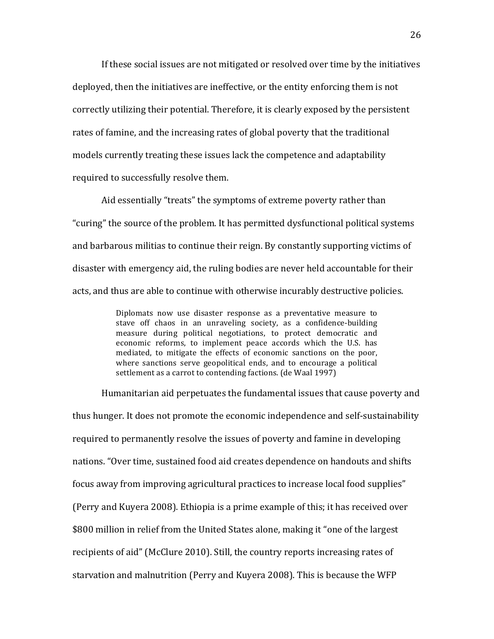If these social issues are not mitigated or resolved over time by the initiatives deployed, then the initiatives are ineffective, or the entity enforcing them is not correctly utilizing their potential. Therefore, it is clearly exposed by the persistent rates of famine, and the increasing rates of global poverty that the traditional models currently treating these issues lack the competence and adaptability required to successfully resolve them.

Aid essentially "treats" the symptoms of extreme poverty rather than "curing" the source of the problem. It has permitted dysfunctional political systems and barbarous militias to continue their reign. By constantly supporting victims of disaster with emergency aid, the ruling bodies are never held accountable for their acts, and thus are able to continue with otherwise incurably destructive policies.

> Diplomats now use disaster response as a preventative measure to stave off chaos in an unraveling society, as a confidence-building measure during political negotiations, to protect democratic and economic reforms, to implement peace accords which the U.S. has mediated, to mitigate the effects of economic sanctions on the poor, where sanctions serve geopolitical ends, and to encourage a political settlement as a carrot to contending factions. (de Waal 1997).

Humanitarian aid perpetuates the fundamental issues that cause poverty and thus hunger. It does not promote the economic independence and self-sustainability required to permanently resolve the issues of poverty and famine in developing nations. "Over time, sustained food aid creates dependence on handouts and shifts focus away from improving agricultural practices to increase local food supplies" (Perry and Kuyera 2008). Ethiopia is a prime example of this; it has received over \$800 million in relief from the United States alone, making it "one of the largest" recipients of aid" (McClure 2010). Still, the country reports increasing rates of starvation and malnutrition (Perry and Kuyera 2008). This is because the WFP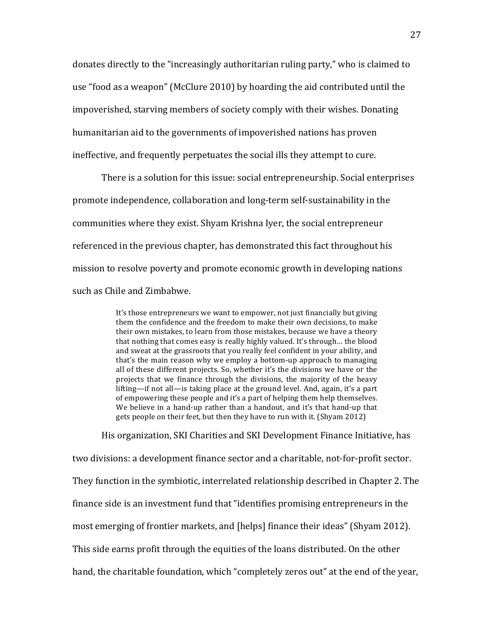donates directly to the "increasingly authoritarian ruling party," who is claimed to use "food as a weapon" (McClure 2010) by hoarding the aid contributed until the impoverished, starving members of society comply with their wishes. Donating humanitarian aid to the governments of impoverished nations has proven ineffective, and frequently perpetuates the social ills they attempt to cure.

There is a solution for this issue: social entrepreneurship. Social enterprises promote independence, collaboration and long-term self-sustainability in the communities where they exist. Shyam Krishna Iyer, the social entrepreneur referenced in the previous chapter, has demonstrated this fact throughout his mission to resolve poverty and promote economic growth in developing nations such as Chile and Zimbabwe.

> It's those entrepreneurs we want to empower, not just financially but giving them the confidence and the freedom to make their own decisions, to make their own mistakes, to learn from those mistakes, because we have a theory that nothing that comes easy is really highly valued. It's through... the blood and sweat at the grassroots that you really feel confident in your ability, and that's the main reason why we employ a bottom-up approach to managing all of these different projects. So, whether it's the divisions we have or the projects that we finance through the divisions, the majority of the heavy lifting—if not all—is taking place at the ground level. And, again, it's a part of empowering these people and it's a part of helping them help themselves. We believe in a hand-up rather than a handout, and it's that hand-up that gets people on their feet, but then they have to run with it. (Shyam 2012)

His organization, SKI Charities and SKI Development Finance Initiative, has two divisions: a development finance sector and a charitable, not-for-profit sector. They function in the symbiotic, interrelated relationship described in Chapter 2. The finance side is an investment fund that "identifies promising entrepreneurs in the most emerging of frontier markets, and [helps] finance their ideas" (Shyam 2012). This side earns profit through the equities of the loans distributed. On the other hand, the charitable foundation, which "completely zeros out" at the end of the year,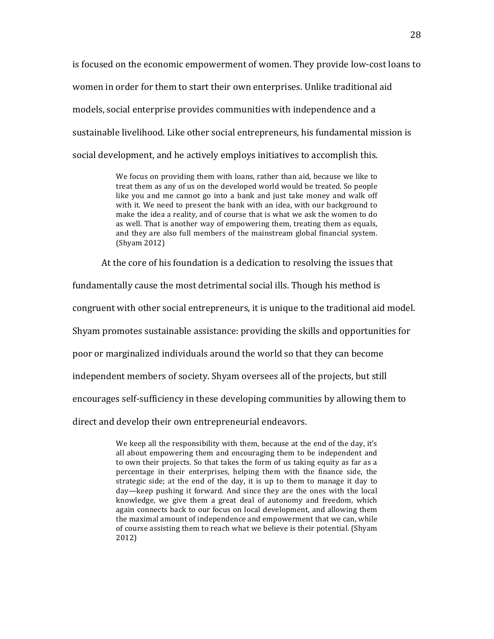is focused on the economic empowerment of women. They provide low-cost loans to women in order for them to start their own enterprises. Unlike traditional aid models, social enterprise provides communities with independence and a sustainable livelihood. Like other social entrepreneurs, his fundamental mission is social development, and he actively employs initiatives to accomplish this.

> We focus on providing them with loans, rather than aid, because we like to treat them as any of us on the developed world would be treated. So people like you and me cannot go into a bank and just take money and walk off with it. We need to present the bank with an idea, with our background to make the idea a reality, and of course that is what we ask the women to do as well. That is another way of empowering them, treating them as equals, and they are also full members of the mainstream global financial system. (Shyam 2012)

At the core of his foundation is a dedication to resolving the issues that

fundamentally cause the most detrimental social ills. Though his method is

congruent with other social entrepreneurs, it is unique to the traditional aid model.

Shyam promotes sustainable assistance: providing the skills and opportunities for

poor or marginalized individuals around the world so that they can become

independent members of society. Shyam oversees all of the projects, but still

encourages self-sufficiency in these developing communities by allowing them to

direct and develop their own entrepreneurial endeavors.

We keep all the responsibility with them, because at the end of the day, it's all about empowering them and encouraging them to be independent and to own their projects. So that takes the form of us taking equity as far as a percentage in their enterprises, helping them with the finance side, the strategic side; at the end of the day, it is up to them to manage it day to day—keep pushing it forward. And since they are the ones with the local knowledge, we give them a great deal of autonomy and freedom, which again connects back to our focus on local development, and allowing them the maximal amount of independence and empowerment that we can, while of course assisting them to reach what we believe is their potential. (Shyam 2012)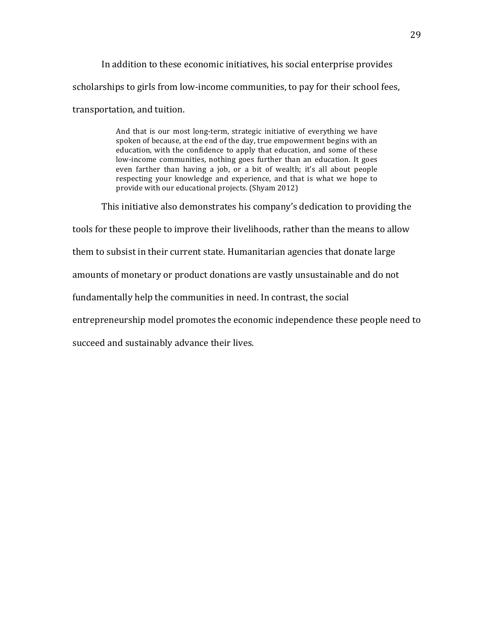In addition to these economic initiatives, his social enterprise provides scholarships to girls from low-income communities, to pay for their school fees, transportation, and tuition.

> And that is our most long-term, strategic initiative of everything we have spoken of because, at the end of the day, true empowerment begins with an education, with the confidence to apply that education, and some of these low-income communities, nothing goes further than an education. It goes even farther than having a job, or a bit of wealth; it's all about people respecting your knowledge and experience, and that is what we hope to provide with our educational projects. (Shyam 2012)

This initiative also demonstrates his company's dedication to providing the

tools for these people to improve their livelihoods, rather than the means to allow

them to subsist in their current state. Humanitarian agencies that donate large

amounts of monetary or product donations are vastly unsustainable and do not

fundamentally help the communities in need. In contrast, the social

entrepreneurship model promotes the economic independence these people need to

succeed and sustainably advance their lives.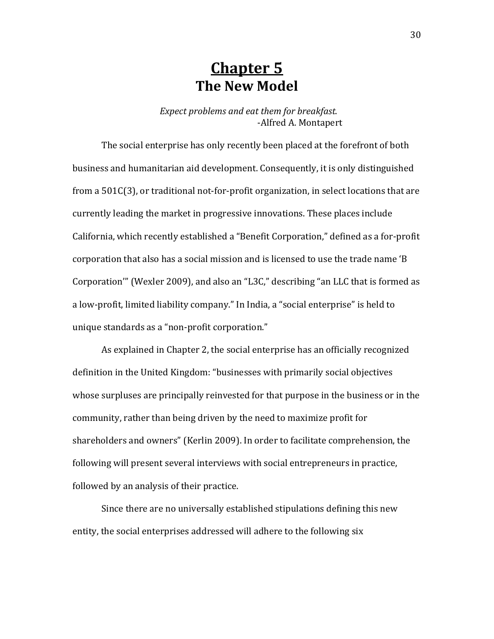### **Chapter 5 The New Model**

*Expect problems and eat them for breakfast.* -Alfred A. Montapert

The social enterprise has only recently been placed at the forefront of both business and humanitarian aid development. Consequently, it is only distinguished from a  $501C(3)$ , or traditional not-for-profit organization, in select locations that are currently leading the market in progressive innovations. These places include California, which recently established a "Benefit Corporation," defined as a for-profit corporation that also has a social mission and is licensed to use the trade name 'B Corporation'" (Wexler 2009), and also an "L3C," describing "an LLC that is formed as a low-profit, limited liability company." In India, a "social enterprise" is held to unique standards as a "non-profit corporation."

As explained in Chapter 2, the social enterprise has an officially recognized definition in the United Kingdom: "businesses with primarily social objectives whose surpluses are principally reinvested for that purpose in the business or in the community, rather than being driven by the need to maximize profit for shareholders and owners" (Kerlin 2009). In order to facilitate comprehension, the following will present several interviews with social entrepreneurs in practice, followed by an analysis of their practice.

Since there are no universally established stipulations defining this new entity, the social enterprises addressed will adhere to the following six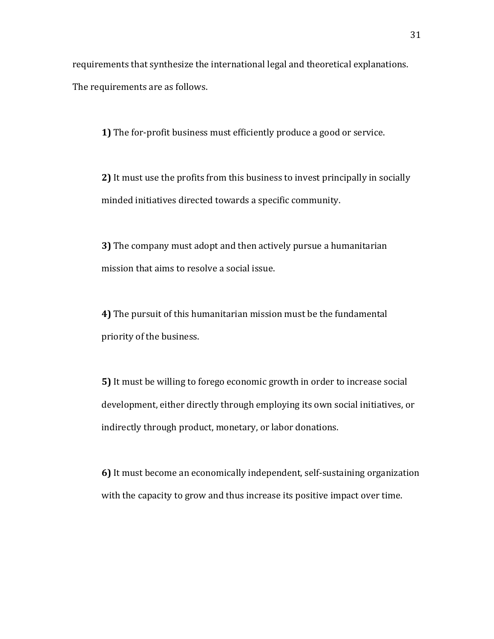requirements that synthesize the international legal and theoretical explanations. The requirements are as follows.

**1)** The for-profit business must efficiently produce a good or service.

**2)** It must use the profits from this business to invest principally in socially minded initiatives directed towards a specific community.

**3)** The company must adopt and then actively pursue a humanitarian mission that aims to resolve a social issue.

**4)** The pursuit of this humanitarian mission must be the fundamental priority of the business.

**5)** It must be willing to forego economic growth in order to increase social development, either directly through employing its own social initiatives, or indirectly through product, monetary, or labor donations.

**6)** It must become an economically independent, self-sustaining organization with the capacity to grow and thus increase its positive impact over time.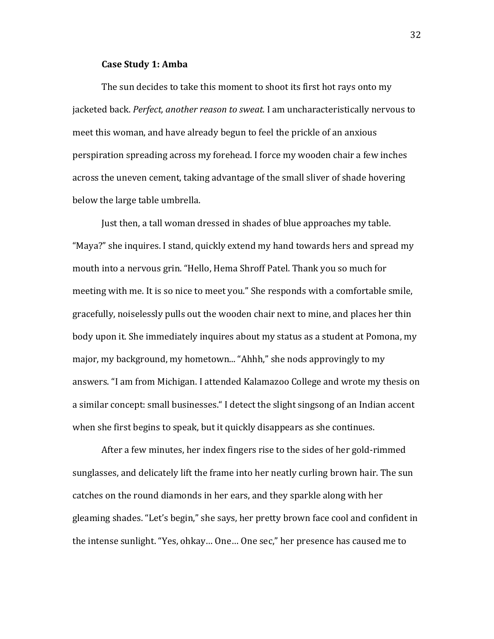#### **Case Study 1: Amba**

The sun decides to take this moment to shoot its first hot rays onto my jacketed back. *Perfect, another reason to sweat*. I am uncharacteristically nervous to meet this woman, and have already begun to feel the prickle of an anxious perspiration spreading across my forehead. I force my wooden chair a few inches across the uneven cement, taking advantage of the small sliver of shade hovering below the large table umbrella.

Just then, a tall woman dressed in shades of blue approaches my table. "Maya?" she inquires. I stand, quickly extend my hand towards hers and spread my mouth into a nervous grin. "Hello, Hema Shroff Patel. Thank you so much for meeting with me. It is so nice to meet you." She responds with a comfortable smile, gracefully, noiselessly pulls out the wooden chair next to mine, and places her thin body upon it. She immediately inquires about my status as a student at Pomona, my major, my background, my hometown... "Ahhh," she nods approvingly to my answers. "I am from Michigan. I attended Kalamazoo College and wrote my thesis on a similar concept: small businesses." I detect the slight singsong of an Indian accent when she first begins to speak, but it quickly disappears as she continues.

After a few minutes, her index fingers rise to the sides of her gold-rimmed sunglasses, and delicately lift the frame into her neatly curling brown hair. The sun catches on the round diamonds in her ears, and they sparkle along with her gleaming shades. "Let's begin," she says, her pretty brown face cool and confident in the intense sunlight. "Yes, ohkay... One... One sec," her presence has caused me to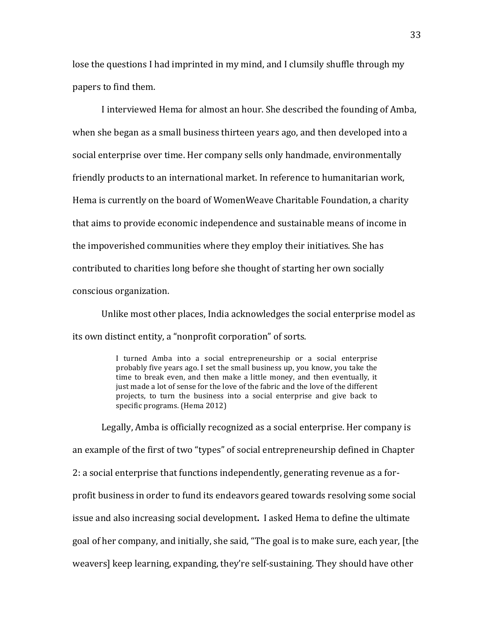lose the questions I had imprinted in my mind, and I clumsily shuffle through my papers to find them.

I interviewed Hema for almost an hour. She described the founding of Amba, when she began as a small business thirteen years ago, and then developed into a social enterprise over time. Her company sells only handmade, environmentally friendly products to an international market. In reference to humanitarian work, Hema is currently on the board of WomenWeave Charitable Foundation, a charity that aims to provide economic independence and sustainable means of income in the impoverished communities where they employ their initiatives. She has contributed to charities long before she thought of starting her own socially conscious organization.

Unlike most other places, India acknowledges the social enterprise model as its own distinct entity, a "nonprofit corporation" of sorts.

> I turned Amba into a social entrepreneurship or a social enterprise probably five years ago. I set the small business up, you know, you take the time to break even, and then make a little money, and then eventually, it just made a lot of sense for the love of the fabric and the love of the different projects, to turn the business into a social enterprise and give back to specific programs. (Hema 2012)

Legally, Amba is officially recognized as a social enterprise. Her company is an example of the first of two "types" of social entrepreneurship defined in Chapter 2: a social enterprise that functions independently, generating revenue as a forprofit business in order to fund its endeavors geared towards resolving some social issue and also increasing social development. I asked Hema to define the ultimate goal of her company, and initially, she said, "The goal is to make sure, each year, [the weavers] keep learning, expanding, they're self-sustaining. They should have other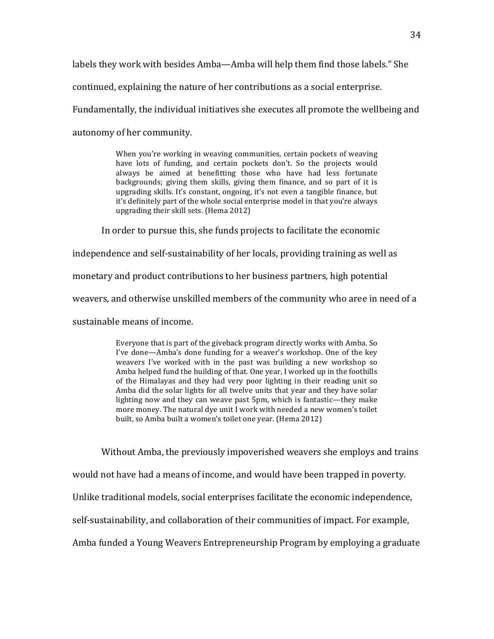labels they work with besides Amba—Amba will help them find those labels." She

continued, explaining the nature of her contributions as a social enterprise.

Fundamentally, the individual initiatives she executes all promote the wellbeing and

autonomy of her community.

When you're working in weaving communities, certain pockets of weaving have lots of funding, and certain pockets don't. So the projects would always be aimed at benefitting those who have had less fortunate backgrounds; giving them skills, giving them finance, and so part of it is upgrading skills. It's constant, ongoing, it's not even a tangible finance, but it's definitely part of the whole social enterprise model in that you're always upgrading their skill sets. (Hema 2012)

In order to pursue this, she funds projects to facilitate the economic

independence and self-sustainability of her locals, providing training as well as

monetary and product contributions to her business partners, high potential

weavers, and otherwise unskilled members of the community who aree in need of a

sustainable means of income.

Everyone that is part of the giveback program directly works with Amba. So I've done—Amba's done funding for a weaver's workshop. One of the key weavers I've worked with in the past was building a new workshop so Amba helped fund the building of that. One year, I worked up in the foothills of the Himalayas and they had very poor lighting in their reading unit so Amba did the solar lights for all twelve units that year and they have solar lighting now and they can weave past 5pm, which is fantastic—they make more money. The natural dye unit I work with needed a new women's toilet built, so Amba built a women's toilet one year. (Hema 2012)

Without Amba, the previously impoverished weavers she employs and trains

would not have had a means of income, and would have been trapped in poverty.

Unlike traditional models, social enterprises facilitate the economic independence,

self-sustainability, and collaboration of their communities of impact. For example,

Amba funded a Young Weavers Entrepreneurship Program by employing a graduate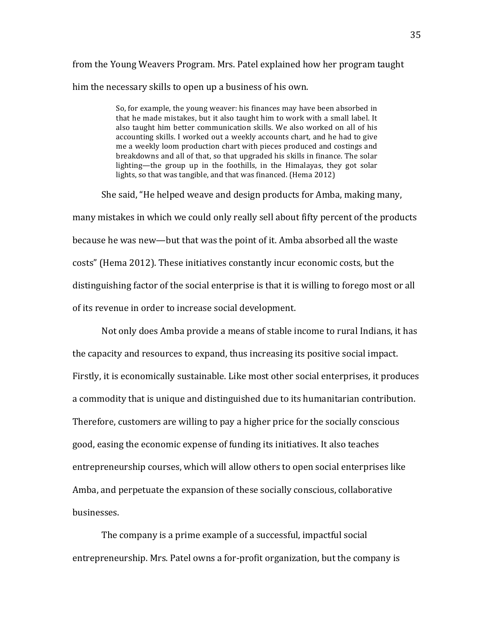from the Young Weavers Program. Mrs. Patel explained how her program taught him the necessary skills to open up a business of his own.

> So, for example, the young weaver: his finances may have been absorbed in that he made mistakes, but it also taught him to work with a small label. It also taught him better communication skills. We also worked on all of his accounting skills. I worked out a weekly accounts chart, and he had to give me a weekly loom production chart with pieces produced and costings and breakdowns and all of that, so that upgraded his skills in finance. The solar lighting—the group up in the foothills, in the Himalayas, they got solar lights, so that was tangible, and that was financed. (Hema 2012)

She said, "He helped weave and design products for Amba, making many, many mistakes in which we could only really sell about fifty percent of the products because he was new—but that was the point of it. Amba absorbed all the waste costs" (Hema 2012). These initiatives constantly incur economic costs, but the distinguishing factor of the social enterprise is that it is willing to forego most or all of its revenue in order to increase social development.

Not only does Amba provide a means of stable income to rural Indians, it has the capacity and resources to expand, thus increasing its positive social impact. Firstly, it is economically sustainable. Like most other social enterprises, it produces a commodity that is unique and distinguished due to its humanitarian contribution. Therefore, customers are willing to pay a higher price for the socially conscious good, easing the economic expense of funding its initiatives. It also teaches entrepreneurship courses, which will allow others to open social enterprises like Amba, and perpetuate the expansion of these socially conscious, collaborative businesses.!

The company is a prime example of a successful, impactful social entrepreneurship. Mrs. Patel owns a for-profit organization, but the company is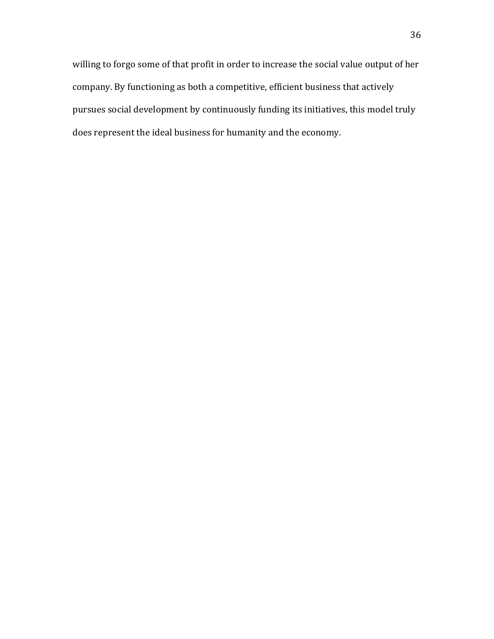willing to forgo some of that profit in order to increase the social value output of her company. By functioning as both a competitive, efficient business that actively pursues social development by continuously funding its initiatives, this model truly does represent the ideal business for humanity and the economy.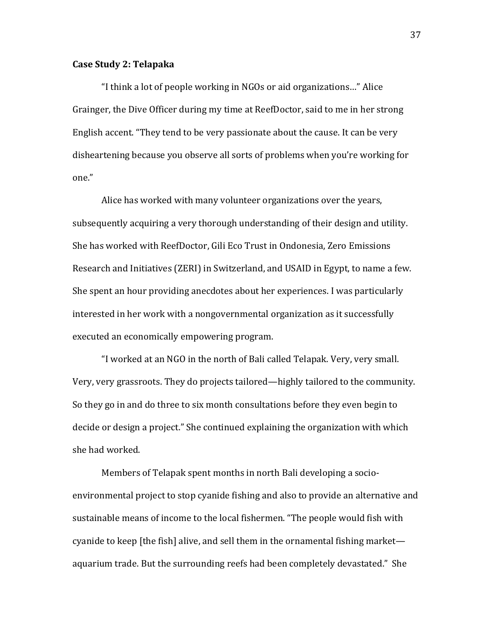#### **Case'Study'2:'Telapaka**

"I think a lot of people working in NGOs or aid organizations..." Alice Grainger, the Dive Officer during my time at ReefDoctor, said to me in her strong English accent. "They tend to be very passionate about the cause. It can be very disheartening because you observe all sorts of problems when you're working for one."

Alice has worked with many volunteer organizations over the years, subsequently acquiring a very thorough understanding of their design and utility. She has worked with ReefDoctor, Gili Eco Trust in Ondonesia, Zero Emissions Research and Initiatives (ZERI) in Switzerland, and USAID in Egypt, to name a few. She spent an hour providing anecdotes about her experiences. I was particularly interested in her work with a nongovernmental organization as it successfully executed an economically empowering program.

"I worked at an NGO in the north of Bali called Telapak. Very, very small. Very, very grassroots. They do projects tailored—highly tailored to the community. So they go in and do three to six month consultations before they even begin to decide or design a project." She continued explaining the organization with which she had worked.

Members of Telapak spent months in north Bali developing a socioenvironmental project to stop cyanide fishing and also to provide an alternative and sustainable means of income to the local fishermen. "The people would fish with cyanide to keep [the fish] alive, and sell them in the ornamental fishing market aquarium trade. But the surrounding reefs had been completely devastated." She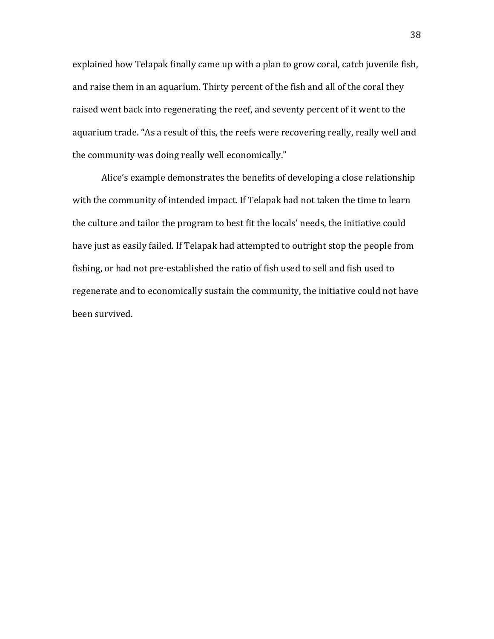explained how Telapak finally came up with a plan to grow coral, catch juvenile fish, and raise them in an aquarium. Thirty percent of the fish and all of the coral they raised went back into regenerating the reef, and seventy percent of it went to the aquarium trade. "As a result of this, the reefs were recovering really, really well and the community was doing really well economically."

Alice's example demonstrates the benefits of developing a close relationship with the community of intended impact. If Telapak had not taken the time to learn the culture and tailor the program to best fit the locals' needs, the initiative could have just as easily failed. If Telapak had attempted to outright stop the people from fishing, or had not pre-established the ratio of fish used to sell and fish used to regenerate and to economically sustain the community, the initiative could not have been survived.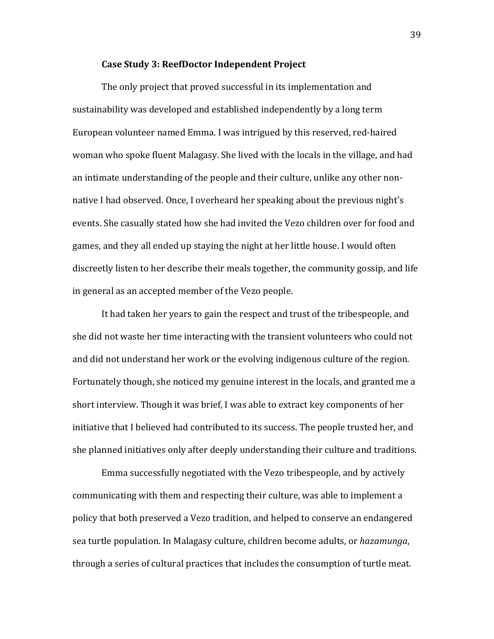#### Case Study 3: ReefDoctor Independent Project

The only project that proved successful in its implementation and sustainability was developed and established independently by a long term European volunteer named Emma. I was intrigued by this reserved, red-haired woman who spoke fluent Malagasy. She lived with the locals in the village, and had an intimate understanding of the people and their culture, unlike any other nonnative I had observed. Once, I overheard her speaking about the previous night's events. She casually stated how she had invited the Vezo children over for food and games, and they all ended up staying the night at her little house. I would often discreetly listen to her describe their meals together, the community gossip, and life in general as an accepted member of the Vezo people.

It had taken her years to gain the respect and trust of the tribespeople, and she did not waste her time interacting with the transient volunteers who could not and did not understand her work or the evolving indigenous culture of the region. Fortunately though, she noticed my genuine interest in the locals, and granted me a short interview. Though it was brief, I was able to extract key components of her initiative that I believed had contributed to its success. The people trusted her, and she planned initiatives only after deeply understanding their culture and traditions.

Emma successfully negotiated with the Vezo tribespeople, and by actively communicating with them and respecting their culture, was able to implement a policy that both preserved a Vezo tradition, and helped to conserve an endangered sea turtle population. In Malagasy culture, children become adults, or *hazamunga*, through a series of cultural practices that includes the consumption of turtle meat.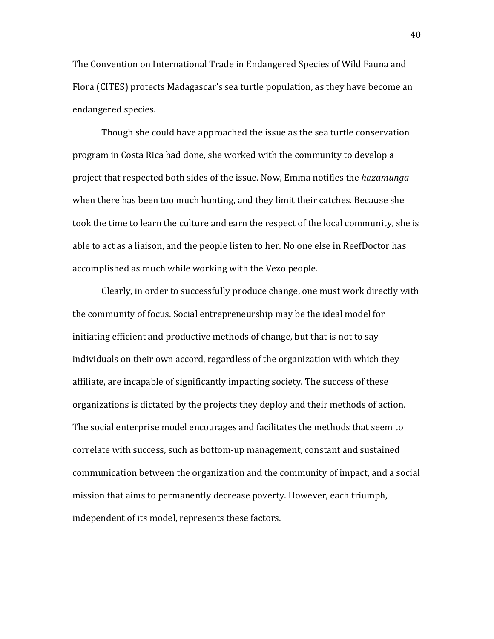The Convention on International Trade in Endangered Species of Wild Fauna and Flora (CITES) protects Madagascar's sea turtle population, as they have become an endangered species.

Though she could have approached the issue as the sea turtle conservation program in Costa Rica had done, she worked with the community to develop a project that respected both sides of the issue. Now, Emma notifies the *hazamunga* when there has been too much hunting, and they limit their catches. Because she took the time to learn the culture and earn the respect of the local community, she is able to act as a liaison, and the people listen to her. No one else in ReefDoctor has accomplished as much while working with the Vezo people.

Clearly, in order to successfully produce change, one must work directly with the community of focus. Social entrepreneurship may be the ideal model for initiating efficient and productive methods of change, but that is not to say individuals on their own accord, regardless of the organization with which they affiliate, are incapable of significantly impacting society. The success of these organizations is dictated by the projects they deploy and their methods of action. The social enterprise model encourages and facilitates the methods that seem to correlate with success, such as bottom-up management, constant and sustained communication between the organization and the community of impact, and a social mission that aims to permanently decrease poverty. However, each triumph, independent of its model, represents these factors.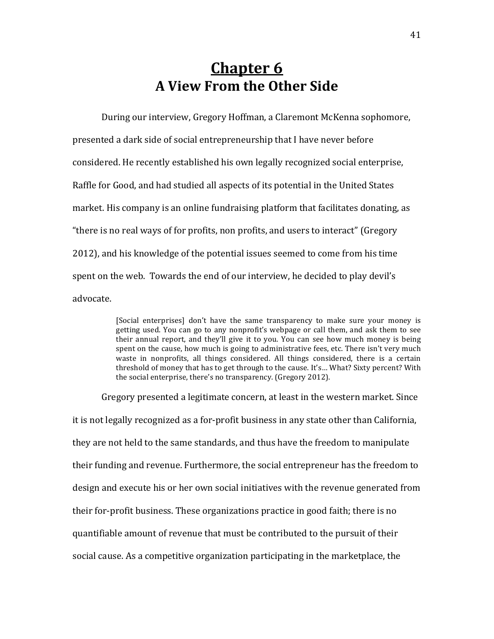### **Chapter 6 A'View'From'the'Other'Side**

During our interview, Gregory Hoffman, a Claremont McKenna sophomore, presented a dark side of social entrepreneurship that I have never before considered. He recently established his own legally recognized social enterprise, Raffle for Good, and had studied all aspects of its potential in the United States market. His company is an online fundraising platform that facilitates donating, as "there is no real ways of for profits, non profits, and users to interact" (Gregory 2012), and his knowledge of the potential issues seemed to come from his time spent on the web. Towards the end of our interview, he decided to play devil's advocate.

> [Social enterprises] don't have the same transparency to make sure your money is getting used. You can go to any nonprofit's webpage or call them, and ask them to see their annual report, and they'll give it to you. You can see how much money is being spent on the cause, how much is going to administrative fees, etc. There isn't very much waste in nonprofits, all things considered. All things considered, there is a certain threshold of money that has to get through to the cause. It's... What? Sixty percent? With the social enterprise, there's no transparency. (Gregory 2012).

Gregory presented a legitimate concern, at least in the western market. Since it is not legally recognized as a for-profit business in any state other than California, they are not held to the same standards, and thus have the freedom to manipulate their funding and revenue. Furthermore, the social entrepreneur has the freedom to design and execute his or her own social initiatives with the revenue generated from their for-profit business. These organizations practice in good faith; there is no quantifiable amount of revenue that must be contributed to the pursuit of their social cause. As a competitive organization participating in the marketplace, the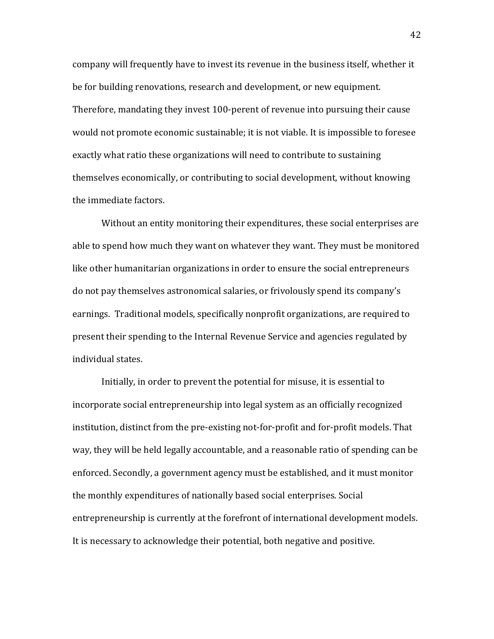company will frequently have to invest its revenue in the business itself, whether it be for building renovations, research and development, or new equipment. Therefore, mandating they invest 100-perent of revenue into pursuing their cause would not promote economic sustainable; it is not viable. It is impossible to foresee exactly what ratio these organizations will need to contribute to sustaining themselves economically, or contributing to social development, without knowing the immediate factors.

Without an entity monitoring their expenditures, these social enterprises are able to spend how much they want on whatever they want. They must be monitored like other humanitarian organizations in order to ensure the social entrepreneurs do not pay themselves astronomical salaries, or frivolously spend its company's earnings. Traditional models, specifically nonprofit organizations, are required to present their spending to the Internal Revenue Service and agencies regulated by individual states.

Initially, in order to prevent the potential for misuse, it is essential to incorporate social entrepreneurship into legal system as an officially recognized institution, distinct from the pre-existing not-for-profit and for-profit models. That way, they will be held legally accountable, and a reasonable ratio of spending can be enforced. Secondly, a government agency must be established, and it must monitor the monthly expenditures of nationally based social enterprises. Social entrepreneurship is currently at the forefront of international development models. It is necessary to acknowledge their potential, both negative and positive.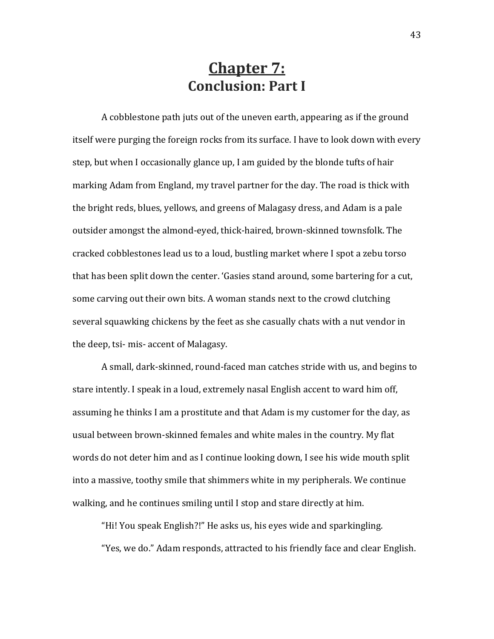### **Chapter 7: Conclusion: Part I**

A cobblestone path juts out of the uneven earth, appearing as if the ground itself were purging the foreign rocks from its surface. I have to look down with every step, but when I occasionally glance up, I am guided by the blonde tufts of hair marking Adam from England, my travel partner for the day. The road is thick with the bright reds, blues, yellows, and greens of Malagasy dress, and Adam is a pale outsider amongst the almond-eyed, thick-haired, brown-skinned townsfolk. The cracked cobblestones lead us to a loud, bustling market where I spot a zebu torso that has been split down the center. 'Gasies stand around, some bartering for a cut, some carving out their own bits. A woman stands next to the crowd clutching several squawking chickens by the feet as she casually chats with a nut vendor in the deep, tsi- mis- accent of Malagasy.

A small, dark-skinned, round-faced man catches stride with us, and begins to stare intently. I speak in a loud, extremely nasal English accent to ward him off, assuming he thinks I am a prostitute and that Adam is my customer for the day, as usual between brown-skinned females and white males in the country. My flat words do not deter him and as I continue looking down, I see his wide mouth split into a massive, toothy smile that shimmers white in my peripherals. We continue walking, and he continues smiling until I stop and stare directly at him.

"Hi! You speak English?!" He asks us, his eyes wide and sparkingling. "Yes, we do." Adam responds, attracted to his friendly face and clear English.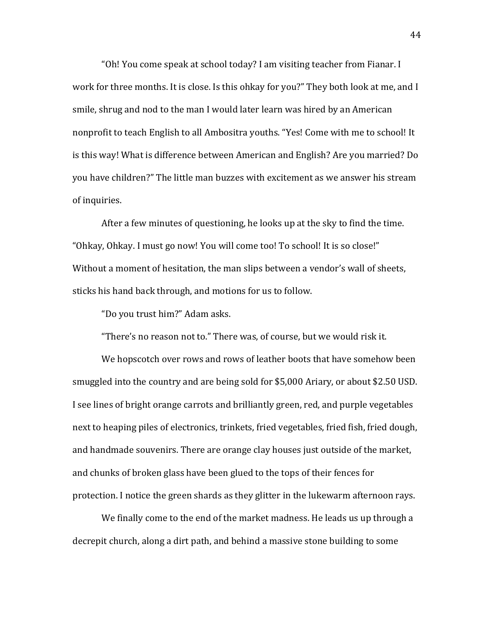"Oh! You come speak at school today? I am visiting teacher from Fianar. I work for three months. It is close. Is this ohkay for you?" They both look at me, and I smile, shrug and nod to the man I would later learn was hired by an American nonprofit to teach English to all Ambositra youths. "Yes! Come with me to school! It is this way! What is difference between American and English? Are you married? Do you have children?" The little man buzzes with excitement as we answer his stream of inquiries.

After a few minutes of questioning, he looks up at the sky to find the time. "Ohkay, Ohkay. I must go now! You will come too! To school! It is so close!" Without a moment of hesitation, the man slips between a vendor's wall of sheets, sticks his hand back through, and motions for us to follow.

"Do you trust him?" Adam asks.

"There's no reason not to." There was, of course, but we would risk it.

We hopscotch over rows and rows of leather boots that have somehow been smuggled into the country and are being sold for \$5,000 Ariary, or about \$2.50 USD. I see lines of bright orange carrots and brilliantly green, red, and purple vegetables next to heaping piles of electronics, trinkets, fried vegetables, fried fish, fried dough, and handmade souvenirs. There are orange clay houses just outside of the market, and chunks of broken glass have been glued to the tops of their fences for protection. I notice the green shards as they glitter in the lukewarm afternoon rays.

We finally come to the end of the market madness. He leads us up through a decrepit church, along a dirt path, and behind a massive stone building to some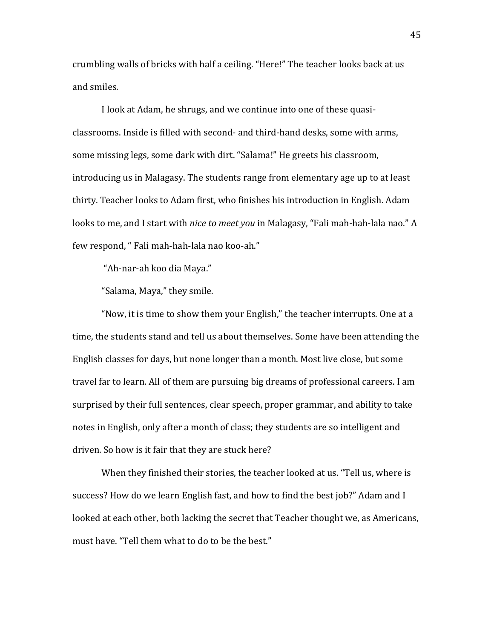crumbling walls of bricks with half a ceiling. "Here!" The teacher looks back at us and smiles.

I look at Adam, he shrugs, and we continue into one of these quasiclassrooms. Inside is filled with second- and third-hand desks, some with arms, some missing legs, some dark with dirt. "Salama!" He greets his classroom, introducing us in Malagasy. The students range from elementary age up to at least thirty. Teacher looks to Adam first, who finishes his introduction in English. Adam looks to me, and I start with *nice to meet you* in Malagasy, "Fali mah-hah-lala nao." A few respond, " Fali mah-hah-lala nao koo-ah."

"Ah-nar-ah koo dia Maya."

"Salama, Maya," they smile.

"Now, it is time to show them your English," the teacher interrupts. One at a time, the students stand and tell us about themselves. Some have been attending the English classes for days, but none longer than a month. Most live close, but some travel far to learn. All of them are pursuing big dreams of professional careers. I am surprised by their full sentences, clear speech, proper grammar, and ability to take notes in English, only after a month of class; they students are so intelligent and driven. So how is it fair that they are stuck here?

When they finished their stories, the teacher looked at us. "Tell us, where is success? How do we learn English fast, and how to find the best job?" Adam and I looked at each other, both lacking the secret that Teacher thought we, as Americans, must have. "Tell them what to do to be the best."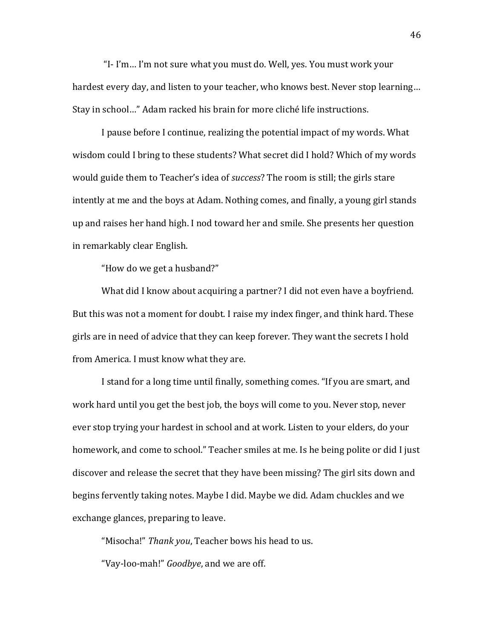"I- I'm... I'm not sure what you must do. Well, yes. You must work your hardest every day, and listen to your teacher, who knows best. Never stop learning... Stay in school..." Adam racked his brain for more cliché life instructions.

I pause before I continue, realizing the potential impact of my words. What wisdom could I bring to these students? What secret did I hold? Which of my words would guide them to Teacher's idea of *success*? The room is still; the girls stare intently at me and the boys at Adam. Nothing comes, and finally, a young girl stands up and raises her hand high. I nod toward her and smile. She presents her question in remarkably clear English.

"How do we get a husband?"

What did I know about acquiring a partner? I did not even have a boyfriend. But this was not a moment for doubt. I raise my index finger, and think hard. These girls are in need of advice that they can keep forever. They want the secrets I hold from America. I must know what they are.

I stand for a long time until finally, something comes. "If you are smart, and work hard until you get the best job, the boys will come to you. Never stop, never ever stop trying your hardest in school and at work. Listen to your elders, do your homework, and come to school." Teacher smiles at me. Is he being polite or did I just discover and release the secret that they have been missing? The girl sits down and begins fervently taking notes. Maybe I did. Maybe we did. Adam chuckles and we exchange glances, preparing to leave.

"Misocha!" Thank you, Teacher bows his head to us.

"Vay-loo-mah!" *Goodbye*, and we are off.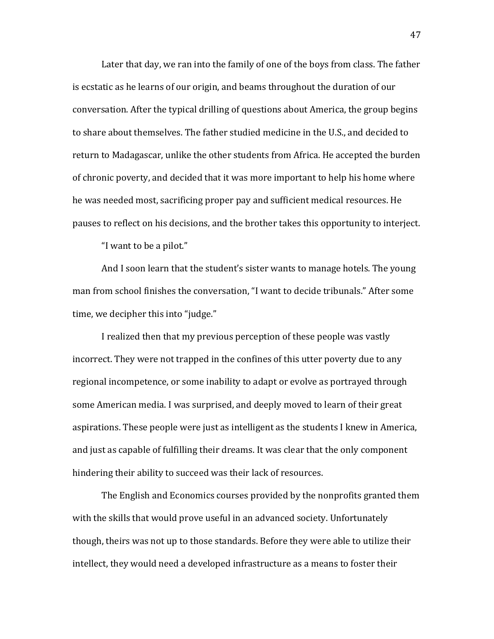Later that day, we ran into the family of one of the boys from class. The father is ecstatic as he learns of our origin, and beams throughout the duration of our conversation. After the typical drilling of questions about America, the group begins to share about themselves. The father studied medicine in the U.S., and decided to return to Madagascar, unlike the other students from Africa. He accepted the burden of chronic poverty, and decided that it was more important to help his home where he was needed most, sacrificing proper pay and sufficient medical resources. He pauses to reflect on his decisions, and the brother takes this opportunity to interject.

"I want to be a pilot."

And I soon learn that the student's sister wants to manage hotels. The young man from school finishes the conversation, "I want to decide tribunals." After some time, we decipher this into "judge."

I realized then that my previous perception of these people was vastly incorrect. They were not trapped in the confines of this utter poverty due to any regional incompetence, or some inability to adapt or evolve as portrayed through some American media. I was surprised, and deeply moved to learn of their great aspirations. These people were just as intelligent as the students I knew in America, and just as capable of fulfilling their dreams. It was clear that the only component hindering their ability to succeed was their lack of resources.

The English and Economics courses provided by the nonprofits granted them with the skills that would prove useful in an advanced society. Unfortunately though, theirs was not up to those standards. Before they were able to utilize their intellect, they would need a developed infrastructure as a means to foster their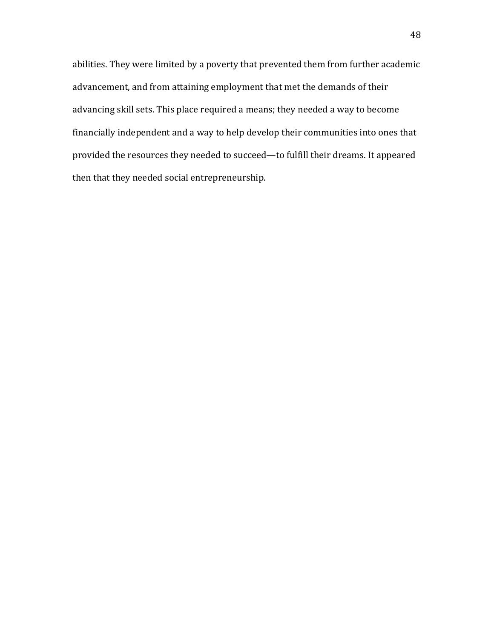abilities. They were limited by a poverty that prevented them from further academic advancement, and from attaining employment that met the demands of their advancing skill sets. This place required a means; they needed a way to become financially independent and a way to help develop their communities into ones that provided the resources they needed to succeed—to fulfill their dreams. It appeared then that they needed social entrepreneurship.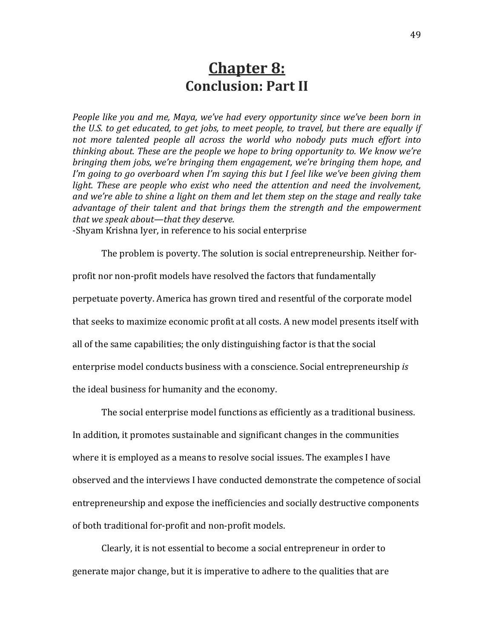#### **Chapter 8: Conclusion: Part II**

*People like you and me, Maya, we've had every opportunity since we've been born in* the U.S. to get educated, to get jobs, to meet people, to travel, but there are equally if not more talented people all across the world who nobody puts much effort into thinking about. These are the people we hope to bring opportunity to. We know we're *bringing them jobs, we're bringing them engagement, we're bringing them hope, and* I'm going to go overboard when I'm saying this but I feel like we've been giving them *light. These are people who exist who need the attention and need the involvement,* and we're able to shine a light on them and let them step on the stage and really take advantage of their talent and that brings them the strength and the empowerment *that we speak about—that they deserve.* 

-Shyam Krishna Iyer, in reference to his social enterprise

The problem is poverty. The solution is social entrepreneurship. Neither for-

profit nor non-profit models have resolved the factors that fundamentally

perpetuate poverty. America has grown tired and resentful of the corporate model

that seeks to maximize economic profit at all costs. A new model presents itself with

all of the same capabilities; the only distinguishing factor is that the social

enterprise model conducts business with a conscience. Social entrepreneurship *is* 

the ideal business for humanity and the economy.

The social enterprise model functions as efficiently as a traditional business.

In addition, it promotes sustainable and significant changes in the communities where it is employed as a means to resolve social issues. The examples I have observed and the interviews I have conducted demonstrate the competence of social entrepreneurship and expose the inefficiencies and socially destructive components of both traditional for-profit and non-profit models.

Clearly, it is not essential to become a social entrepreneur in order to generate major change, but it is imperative to adhere to the qualities that are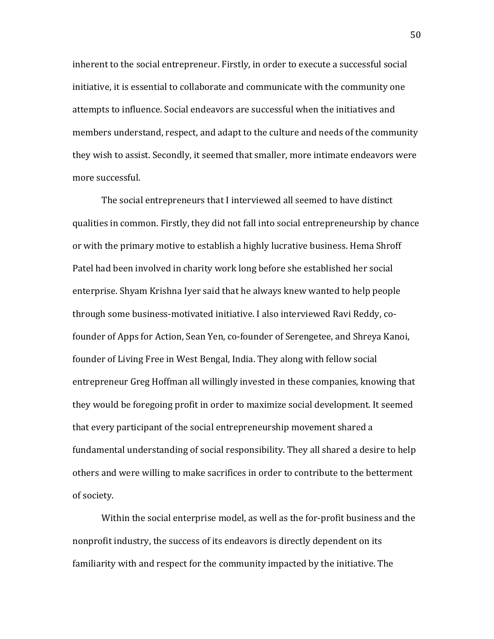inherent to the social entrepreneur. Firstly, in order to execute a successful social initiative, it is essential to collaborate and communicate with the community one attempts to influence. Social endeavors are successful when the initiatives and members understand, respect, and adapt to the culture and needs of the community they wish to assist. Secondly, it seemed that smaller, more intimate endeavors were more successful.

The social entrepreneurs that I interviewed all seemed to have distinct qualities in common. Firstly, they did not fall into social entrepreneurship by chance or with the primary motive to establish a highly lucrative business. Hema Shroff Patel had been involved in charity work long before she established her social enterprise. Shyam Krishna Iyer said that he always knew wanted to help people through some business-motivated initiative. I also interviewed Ravi Reddy, cofounder of Apps for Action, Sean Yen, co-founder of Serengetee, and Shreya Kanoi, founder of Living Free in West Bengal, India. They along with fellow social entrepreneur Greg Hoffman all willingly invested in these companies, knowing that they would be foregoing profit in order to maximize social development. It seemed that every participant of the social entrepreneurship movement shared a fundamental understanding of social responsibility. They all shared a desire to help others and were willing to make sacrifices in order to contribute to the betterment of society.

Within the social enterprise model, as well as the for-profit business and the nonprofit industry, the success of its endeavors is directly dependent on its familiarity with and respect for the community impacted by the initiative. The

50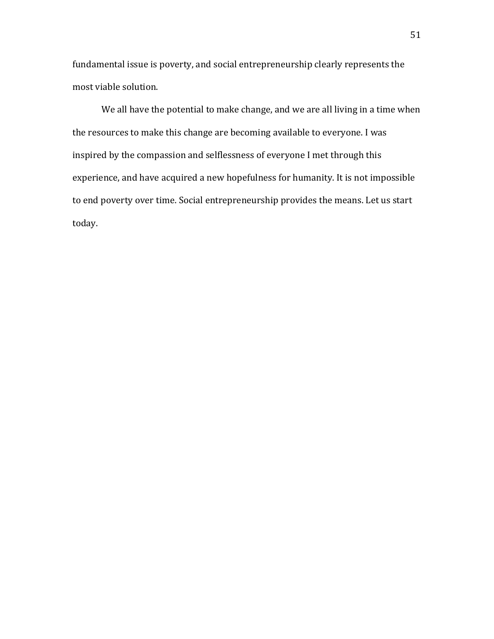fundamental issue is poverty, and social entrepreneurship clearly represents the most viable solution.

We all have the potential to make change, and we are all living in a time when the resources to make this change are becoming available to everyone. I was inspired by the compassion and selflessness of everyone I met through this experience, and have acquired a new hopefulness for humanity. It is not impossible to end poverty over time. Social entrepreneurship provides the means. Let us start today.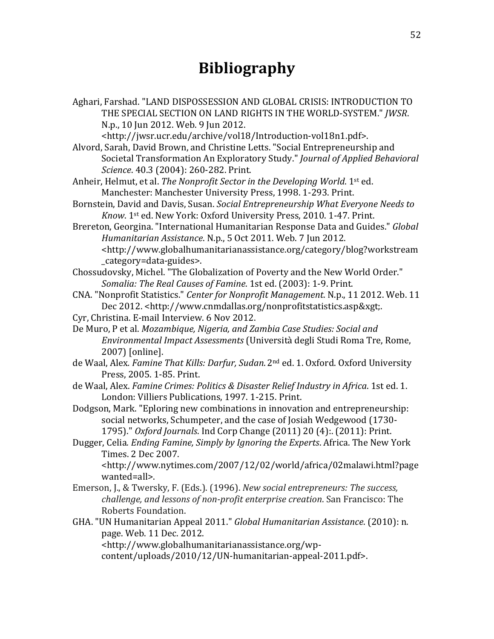### **Bibliography**

Aghari, Farshad. "LAND DISPOSSESSION AND GLOBAL CRISIS: INTRODUCTION TO THE SPECIAL SECTION ON LAND RIGHTS IN THE WORLD-SYSTEM." *JWSR.* N.p., 10 Jun 2012. Web. 9 Jun 2012.

<http://jwsr.ucr.edu/archive/vol18/Introduction-vol18n1.pdf>.

Alvord, Sarah, David Brown, and Christine Letts. "Social Entrepreneurship and Societal Transformation An Exploratory Study." *Journal of Applied Behavioral Science.* 40.3 (2004): 260-282. Print.

Anheir, Helmut, et al. *The Nonprofit Sector in the Developing World*. 1st ed. Manchester: Manchester University Press, 1998. 1-293. Print.

- Bornstein, David and Davis, Susan. *Social Entrepreneurship What Everyone Needs to Know.* 1<sup>st</sup> ed. New York: Oxford University Press, 2010. 1-47. Print.
- Brereton, Georgina. "International Humanitarian Response Data and Guides." *Global Humanitarian Assistance. N.p., 5 Oct 2011. Web. 7 Jun 2012.* <http://www.globalhumanitarianassistance.org/category/blog?workstream \_category=data-guides>.
- Chossudovsky, Michel. "The Globalization of Poverty and the New World Order." *Somalia: The Real Causes of Famine.* 1st ed. (2003): 1-9. Print.
- CNA. "Nonprofit Statistics." *Center for Nonprofit Management*. N.p., 11 2012. Web. 11 Dec 2012. <http://www.cnmdallas.org/nonprofitstatistics.asp&xgt;.
- Cyr, Christina. E-mail Interview. 6 Nov 2012.
- De Muro, P et al. *Mozambique, Nigeria, and Zambia Case Studies: Social and Environmental Impact Assessments* (Università degli Studi Roma Tre, Rome, 2007) [online].
- de Waal, Alex. Famine That Kills: Darfur, Sudan. 2<sup>nd</sup> ed. 1. Oxford. Oxford University Press, 2005. 1-85. Print.
- de Waal, Alex. *Famine Crimes: Politics & Disaster Relief Industry in Africa*. 1st ed. 1. London: Villiers Publications, 1997. 1-215. Print.

Dodgson, Mark. "Eploring new combinations in innovation and entrepreneurship: social networks, Schumpeter, and the case of Josiah Wedgewood (1730-1795)." Oxford Journals. Ind Corp Change (2011) 20 (4):. (2011): Print.

Dugger, Celia. *Ending Famine, Simply by Ignoring the Experts*. Africa. The New York Times. 2 Dec 2007.

<http://www.nytimes.com/2007/12/02/world/africa/02malawi.html?page wanted=all>.!

- Emerson, J., & Twersky, F. (Eds.). (1996). *New social entrepreneurs: The success, challenge, and lessons of non-profit enterprise creation.* San Francisco: The Roberts Foundation.
- GHA. "UN Humanitarian Appeal 2011." *Global Humanitarian Assistance*. (2010): n. page. Web. 11 Dec. 2012.

<http://www.globalhumanitarianassistance.org/wpcontent/uploads/2010/12/UN-humanitarian-appeal-2011.pdf>.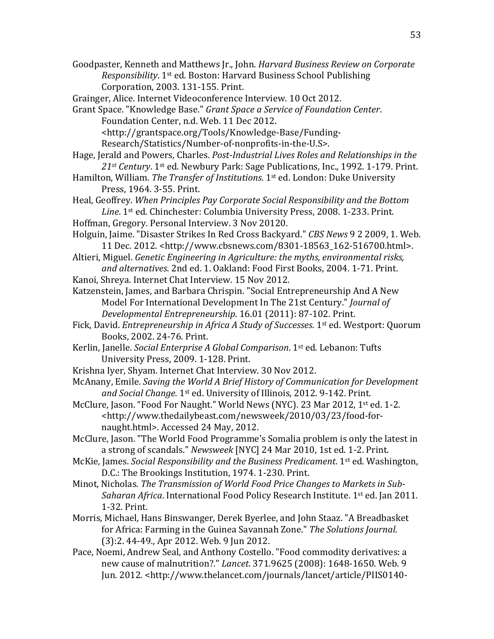Goodpaster, Kenneth and Matthews Jr., John. *Harvard Business Review on Corporate Responsibility*. 1<sup>st</sup> ed. Boston: Harvard Business School Publishing Corporation, 2003. 131-155. Print.

Grainger, Alice. Internet Videoconference Interview. 10 Oct 2012.

Grant Space. "Knowledge Base." *Grant Space a Service of Foundation Center*. Foundation Center, n.d. Web. 11 Dec 2012. <http://grantspace.org/Tools/Knowledge-Base/Funding-

Research/Statistics/Number-of-nonprofits-in-the-U.S>.

- Hage, Jerald and Powers, Charles. *Post-Industrial Lives Roles and Relationships in the* 21<sup>st</sup> Century. 1<sup>st</sup> ed. Newbury Park: Sage Publications, Inc., 1992. 1-179. Print.
- Hamilton, William. *The Transfer of Institutions*. 1<sup>st</sup> ed. London: Duke University Press, 1964. 3-55. Print.
- Heal, Geoffrey. When Principles Pay Corporate Social Responsibility and the Bottom *Line*. 1<sup>st</sup> ed. Chinchester: Columbia University Press, 2008. 1-233. Print.
- Hoffman, Gregory. Personal Interview. 3 Nov 20120.
- Holguin, Jaime. "Disaster Strikes In Red Cross Backyard." *CBS News* 9 2 2009, 1. Web. 11 Dec. 2012. <http://www.cbsnews.com/8301-18563\_162-516700.html>.
- Altieri, Miguel. *Genetic Engineering in Agriculture: the myths, environmental risks,* and alternatives. 2nd ed. 1. Oakland: Food First Books, 2004. 1-71. Print.
- Kanoi, Shreya. Internet Chat Interview. 15 Nov 2012.
- Katzenstein, James, and Barbara Chrispin. "Social Entrepreneurship And A New Model For International Development In The 21st Century." *Journal of Developmental Entrepreneurship.* 16.01 (2011): 87-102. Print.

Fick, David. *Entrepreneurship in Africa A Study of Successes*. 1<sup>st</sup> ed. Westport: Quorum Books, 2002. 24-76. Print.

- Kerlin, Janelle. *Social Enterprise A Global Comparison*. 1<sup>st</sup> ed. Lebanon: Tufts University Press, 2009. 1-128. Print.
- Krishna Iver, Shyam. Internet Chat Interview. 30 Nov 2012.
- McAnany, Emile. *Saving the World A Brief History of Communication for Development and Social Change.* 1<sup>st</sup> ed. University of Illinois, 2012. 9-142. Print.
- McClure, Jason. "Food For Naught." World News (NYC). 23 Mar 2012, 1<sup>st</sup> ed. 1-2. <http://www.thedailybeast.com/newsweek/2010/03/23/food-fornaught.html>. Accessed 24 May, 2012.
- McClure, Jason. "The World Food Programme's Somalia problem is only the latest in a strong of scandals." *Newsweek* [NYC] 24 Mar 2010, 1st ed. 1-2. Print.
- McKie, James. *Social Responsibility and the Business Predicament*. 1<sup>st</sup> ed. Washington, D.C.: The Brookings Institution, 1974. 1-230. Print.
- Minot, Nicholas. *The Transmission of World Food Price Changes to Markets in Sub-Saharan Africa*. International Food Policy Research Institute. 1<sup>st</sup> ed. Jan 2011. 1-32. Print.
- Morris, Michael, Hans Binswanger, Derek Byerlee, and John Staaz. "A Breadbasket for Africa: Farming in the Guinea Savannah Zone." The Solutions Journal. (3):2. 44-49., Apr 2012. Web. 9 Jun 2012.
- Pace, Noemi, Andrew Seal, and Anthony Costello. "Food commodity derivatives: a new cause of malnutrition?." *Lancet*. 371.9625 (2008): 1648-1650. Web. 9 Jun. 2012. <http://www.thelancet.com/journals/lancet/article/PIIS0140-